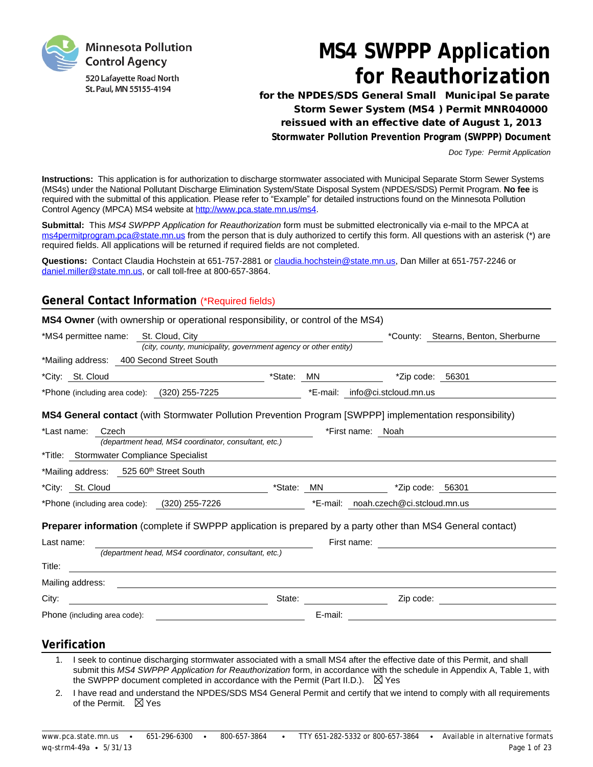

# **MS4 SWPPP Application for Reauthorization**

**for the NPDES/SDS General Small Municipal Se parate Storm Sewer System (MS4 ) Permit MNR040000 reissued with an effective date of August 1, 2013 Stormwater Pollution Prevention Program (SWPPP) Document**

*Doc Type: Permit Application*

**Instructions:** This application is for authorization to discharge stormwater associated with Municipal Separate Storm Sewer Systems (MS4s) under the National Pollutant Discharge Elimination System/State Disposal System (NPDES/SDS) Permit Program. **No fee** is required with the submittal of this application. Please refer to "Example" for detailed instructions found on the Minnesota Pollution Control Agency (MPCA) MS4 website at [http://www.pca.state.mn.us/ms4.](http://www.pca.state.mn.us/ms4)

**Submittal:** This *MS4 SWPPP Application for Reauthorization* form must be submitted electronically via e-mail to the MPCA at [ms4permitprogram.pca@state.mn.us](mailto:ms4permitprogram.pca@state.mn.us) from the person that is duly authorized to certify this form. All questions with an asterisk (\*) are required fields. All applications will be returned if required fields are not completed.

**Questions:** Contact Claudia Hochstein at 651-757-2881 or [claudia.hochstein@state.mn.us,](mailto:claudia.hochstein@state.mn.us) Dan Miller at 651-757-2246 or [daniel.miller@state.mn.us,](mailto:daniel.miller@state.mn.us) or call toll-free at 800-657-3864.

## **General Contact Information** (\*Required fields)

| <b>MS4 Owner</b> (with ownership or operational responsibility, or control of the MS4)                                         |                                                                                                                       |
|--------------------------------------------------------------------------------------------------------------------------------|-----------------------------------------------------------------------------------------------------------------------|
| *MS4 permittee name: St. Cloud, City                                                                                           | *County: Stearns, Benton, Sherburne                                                                                   |
| (city, county, municipality, government agency or other entity)                                                                |                                                                                                                       |
| *Mailing address: 400 Second Street South                                                                                      |                                                                                                                       |
| *City: St. Cloud                                                                                                               | *Zip code: 56301                                                                                                      |
|                                                                                                                                |                                                                                                                       |
| <b>MS4 General contact</b> (with Stormwater Pollution Prevention Program [SWPPP] implementation responsibility)                |                                                                                                                       |
| *Last name: Czech                                                                                                              | *First name: Noah                                                                                                     |
| (department head, MS4 coordinator, consultant, etc.)                                                                           |                                                                                                                       |
| <i>*Title:</i> Stormwater Compliance Specialist                                                                                | ,我们也不会有什么。""我们的人,我们也不会有什么?""我们的人,我们也不会有什么?""我们的人,我们也不会有什么?""我们的人,我们也不会有什么?""我们的人                                      |
| *Mailing address: 525 60th Street South                                                                                        |                                                                                                                       |
| *City: St. Cloud                                                                                                               |                                                                                                                       |
| *Phone (including area code): $(320)$ 255-7226                                                                                 | *E-mail: noah.czech@ci.stcloud.mn.us                                                                                  |
| <b>Preparer information</b> (complete if SWPPP application is prepared by a party other than MS4 General contact)              |                                                                                                                       |
| Last name:                                                                                                                     |                                                                                                                       |
| (department head, MS4 coordinator, consultant, etc.)                                                                           |                                                                                                                       |
| Title:                                                                                                                         |                                                                                                                       |
|                                                                                                                                |                                                                                                                       |
| City:<br><u> 1980 - John Stein, Amerikaansk politiker (</u>                                                                    |                                                                                                                       |
|                                                                                                                                |                                                                                                                       |
| <b>Verification</b>                                                                                                            |                                                                                                                       |
| I seek to continue discharging stormwater associated with a small MS4 after the effective date of this Permit, and shall<br>1. | submit this MS4 SWPPP Application for Reauthorization form in accordance with the schedule in Appendix A Table 1 with |

- submit this *MS4 SWPPP Application for Reauthorization* form, in accordance with the schedule in Appendix A, Table 1, with the SWPPP document completed in accordance with the Permit (Part II.D.).  $\boxtimes$  Yes
- 2. I have read and understand the NPDES/SDS MS4 General Permit and certify that we intend to comply with all requirements of the Permit.  $\boxtimes$  Yes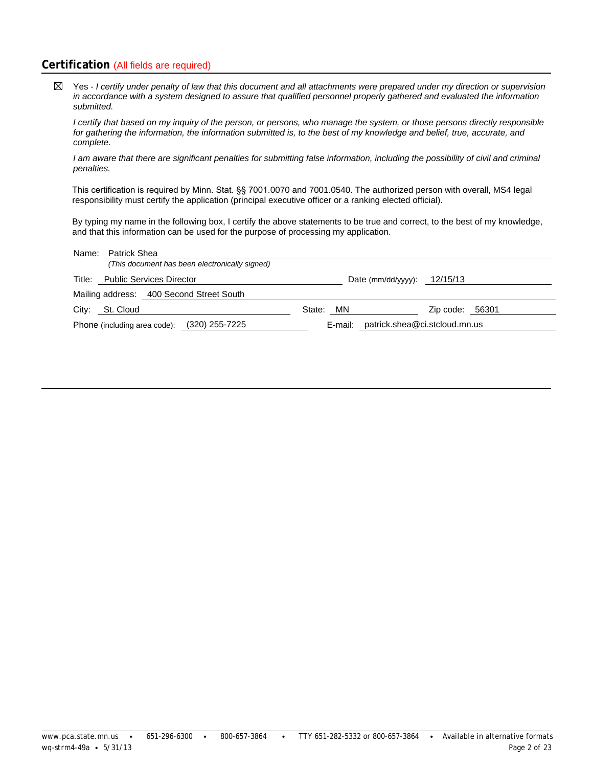## **Certification** (All fields are required)

 $\boxtimes$ Yes - *I certify under penalty of law that this document and all attachments were prepared under my direction or supervision in accordance with a system designed to assure that qualified personnel properly gathered and evaluated the information submitted.*

*I certify that based on my inquiry of the person, or persons, who manage the system, or those persons directly responsible for gathering the information, the information submitted is, to the best of my knowledge and belief, true, accurate, and complete.*

*I am aware that there are significant penalties for submitting false information, including the possibility of civil and criminal penalties.*

This certification is required by Minn. Stat. §§ 7001.0070 and 7001.0540. The authorized person with overall, MS4 legal responsibility must certify the application (principal executive officer or a ranking elected official).

By typing my name in the following box, I certify the above statements to be true and correct, to the best of my knowledge, and that this information can be used for the purpose of processing my application.

| Name: Patrick Shea                             |                                       |                 |  |
|------------------------------------------------|---------------------------------------|-----------------|--|
| (This document has been electronically signed) |                                       |                 |  |
| Title: Public Services Director                | Date (mm/dd/yyyy): $12/15/13$         |                 |  |
| Mailing address: 400 Second Street South       |                                       |                 |  |
| City: St. Cloud                                | State: MN                             | Zip code: 56301 |  |
| Phone (including area code): (320) 255-7225    | E-mail: patrick.shea@ci.stcloud.mn.us |                 |  |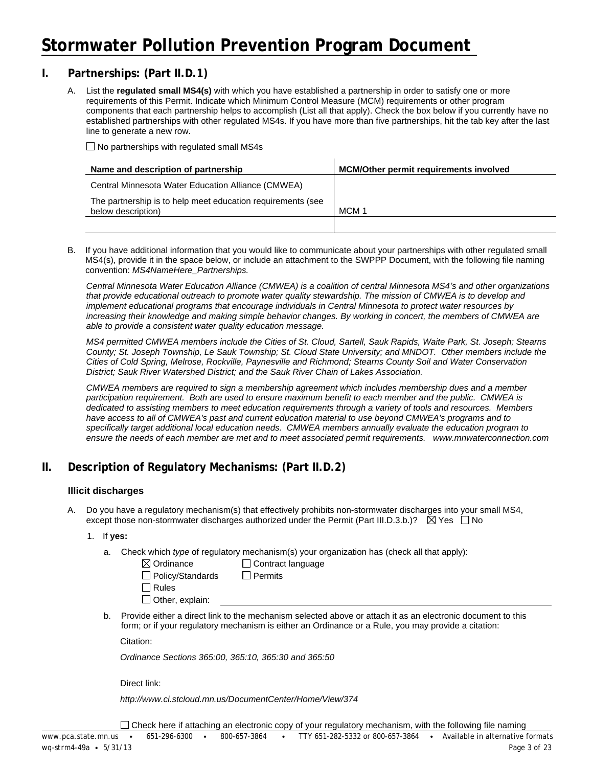# **Stormwater Pollution Prevention Program Document**

## **I. Partnerships: (Part II.D.1)**

A. List the **regulated small MS4(s)** with which you have established a partnership in order to satisfy one or more requirements of this Permit. Indicate which Minimum Control Measure (MCM) requirements or other program components that each partnership helps to accomplish (List all that apply). Check the box below if you currently have no established partnerships with other regulated MS4s. If you have more than five partnerships, hit the tab key after the last line to generate a new row.

 $\Box$  No partnerships with regulated small MS4s

| Name and description of partnership                                               | <b>MCM/Other permit requirements involved</b> |
|-----------------------------------------------------------------------------------|-----------------------------------------------|
| Central Minnesota Water Education Alliance (CMWEA)                                |                                               |
| The partnership is to help meet education requirements (see<br>below description) | MCM 1                                         |
|                                                                                   |                                               |

B. If you have additional information that you would like to communicate about your partnerships with other regulated small MS4(s), provide it in the space below, or include an attachment to the SWPPP Document, with the following file naming convention: *MS4NameHere\_Partnerships.*

*Central Minnesota Water Education Alliance (CMWEA) is a coalition of central Minnesota MS4's and other organizations*  that provide educational outreach to promote water quality stewardship. The mission of CMWEA is to develop and *implement educational programs that encourage individuals in Central Minnesota to protect water resources by increasing their knowledge and making simple behavior changes. By working in concert, the members of CMWEA are able to provide a consistent water quality education message.*

*MS4 permitted CMWEA members include the Cities of St. Cloud, Sartell, Sauk Rapids, Waite Park, St. Joseph; Stearns County; St. Joseph Township, Le Sauk Township; St. Cloud State University; and MNDOT. Other members include the Cities of Cold Spring, Melrose, Rockville, Paynesville and Richmond; Stearns County Soil and Water Conservation District; Sauk River Watershed District; and the Sauk River Chain of Lakes Association.*

*CMWEA members are required to sign a membership agreement which includes membership dues and a member participation requirement. Both are used to ensure maximum benefit to each member and the public. CMWEA is dedicated to assisting members to meet education requirements through a variety of tools and resources. Members have access to all of CMWEA's past and current education material to use beyond CMWEA's programs and to*  specifically target additional local education needs. CMWEA members annually evaluate the education program to *ensure the needs of each member are met and to meet associated permit requirements. www.mnwaterconnection.com*

# **II. Description of Regulatory Mechanisms: (Part II.D.2)**

#### **Illicit discharges**

- Do you have a regulatory mechanism(s) that effectively prohibits non-stormwater discharges into your small MS4, except those non-stormwater discharges authorized under the Permit (Part III.D.3.b.)?  $\boxtimes$  Yes  $\Box$  No
	- 1. If **yes:**
		- a. Check which *type* of regulatory mechanism(s) your organization has (check all that apply):

| $\boxtimes$ Ordinance                | l Contrac |
|--------------------------------------|-----------|
| $\Box$ Policy/Standards              | Permits   |
| $\Box$ Rules                         |           |
| $\Box$ $\Delta t$ is a second inter- |           |

ct language

Other, explain:

b. Provide either a direct link to the mechanism selected above or attach it as an electronic document to this form; or if your regulatory mechanism is either an Ordinance or a Rule, you may provide a citation:

Citation:

*Ordinance Sections 365:00, 365:10, 365:30 and 365:50*

Direct link:

*http://www.ci.stcloud.mn.us/DocumentCenter/Home/View/374*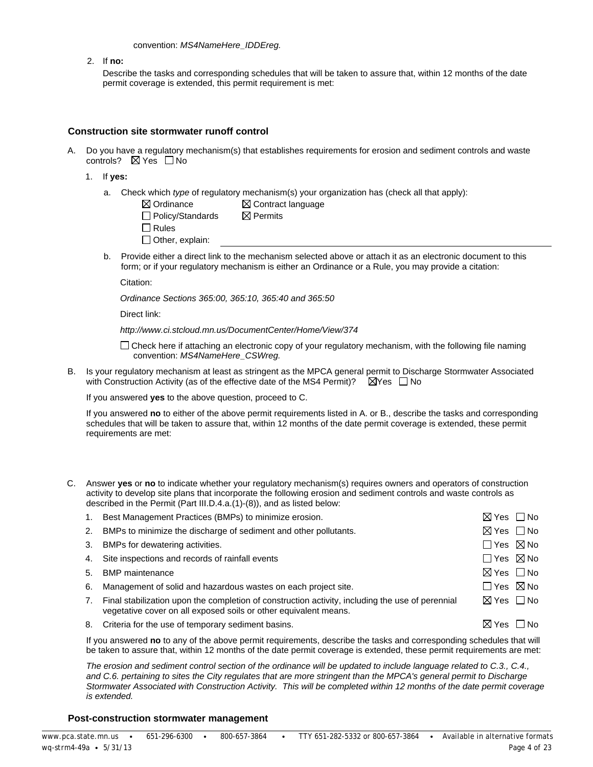#### convention: *MS4NameHere\_IDDEreg.*

2. If **no:**

Describe the tasks and corresponding schedules that will be taken to assure that, within 12 months of the date permit coverage is extended, this permit requirement is met:

#### **Construction site stormwater runoff control**

- A. Do you have a regulatory mechanism(s) that establishes requirements for erosion and sediment controls and waste controls?  $\boxtimes$  Yes  $\Box$  No
	- 1. If **yes:**
		- a. Check which *type* of regulatory mechanism(s) your organization has (check all that apply):

| $\boxtimes$ Ordinance   | $\boxtimes$ Contract language |
|-------------------------|-------------------------------|
| $\Box$ Policy/Standards | $\bowtie$ Permits             |
| $\square$ Rules         |                               |
| $\Box$ Other, explain:  |                               |

b. Provide either a direct link to the mechanism selected above or attach it as an electronic document to this form; or if your regulatory mechanism is either an Ordinance or a Rule, you may provide a citation:

Citation:

*Ordinance Sections 365:00, 365:10, 365:40 and 365:50*

Direct link:

*http://www.ci.stcloud.mn.us/DocumentCenter/Home/View/374*

 $\Box$  Check here if attaching an electronic copy of your regulatory mechanism, with the following file naming convention: *MS4NameHere\_CSWreg.*

B. Is your regulatory mechanism at least as stringent as the MPCA general permit to Discharge Stormwater Associated with Construction Activity (as of the effective date of the MS4 Permit)?  $\Box$  Yes  $\Box$  No

If you answered **yes** to the above question, proceed to C.

If you answered **no** to either of the above permit requirements listed in A. or B., describe the tasks and corresponding schedules that will be taken to assure that, within 12 months of the date permit coverage is extended, these permit requirements are met:

C. Answer **yes** or **no** to indicate whether your regulatory mechanism(s) requires owners and operators of construction activity to develop site plans that incorporate the following erosion and sediment controls and waste controls as described in the Permit (Part III.D.4.a.(1)-(8)), and as listed below:

|    | Best Management Practices (BMPs) to minimize erosion.                                                                                                                | $\boxtimes$ Yes $\Box$ No |  |
|----|----------------------------------------------------------------------------------------------------------------------------------------------------------------------|---------------------------|--|
| 2. | BMPs to minimize the discharge of sediment and other pollutants.                                                                                                     | $\boxtimes$ Yes $\Box$ No |  |
| 3. | BMPs for dewatering activities.                                                                                                                                      | $\Box$ Yes $\boxtimes$ No |  |
|    | 4. Site inspections and records of rainfall events                                                                                                                   | $\Box$ Yes $\boxtimes$ No |  |
| 5. | <b>BMP</b> maintenance                                                                                                                                               | ⊠ Yes □No                 |  |
| 6. | Management of solid and hazardous wastes on each project site.                                                                                                       | $\Box$ Yes $\boxtimes$ No |  |
|    | Final stabilization upon the completion of construction activity, including the use of perennial<br>vegetative cover on all exposed soils or other equivalent means. | $\boxtimes$ Yes $\Box$ No |  |
| 8. | Criteria for the use of temporary sediment basins.                                                                                                                   | ⊠ Yes ∣∣No                |  |
|    |                                                                                                                                                                      |                           |  |

If you answered **no** to any of the above permit requirements, describe the tasks and corresponding schedules that will be taken to assure that, within 12 months of the date permit coverage is extended, these permit requirements are met:

*The erosion and sediment control section of the ordinance will be updated to include language related to C.3., C.4.,*  and C.6. pertaining to sites the City regulates that are more stringent than the MPCA's general permit to Discharge *Stormwater Associated with Construction Activity. This will be completed within 12 months of the date permit coverage is extended.*

#### **Post-construction stormwater management**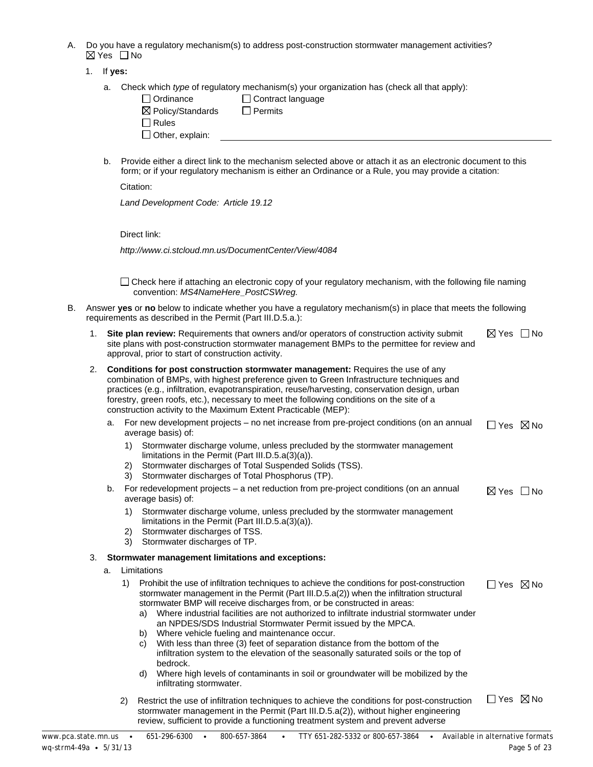- A. Do you have a regulatory mechanism(s) to address post-construction stormwater management activities?  $\boxtimes$  Yes  $\Box$  No
	- 1. If **yes:**
		- a. Check which *type* of regulatory mechanism(s) your organization has (check all that apply):

| Ordinance                    | $\Box$ Contract language |
|------------------------------|--------------------------|
| $\boxtimes$ Policy/Standards | l Permits                |
| l Rules                      |                          |
| $\Box$ Other, explain:       |                          |
|                              |                          |

b. Provide either a direct link to the mechanism selected above or attach it as an electronic document to this form; or if your regulatory mechanism is either an Ordinance or a Rule, you may provide a citation:

Citation:

*Land Development Code: Article 19.12*

Direct link:

*http://www.ci.stcloud.mn.us/DocumentCenter/View/4084*

 $\Box$  Check here if attaching an electronic copy of your regulatory mechanism, with the following file naming convention: *MS4NameHere\_PostCSWreg.*

- B. Answer **yes** or **no** below to indicate whether you have a regulatory mechanism(s) in place that meets the following requirements as described in the Permit (Part III.D.5.a.):
	- 1. **Site plan review:** Requirements that owners and/or operators of construction activity submit site plans with post-construction stormwater management BMPs to the permittee for review and approval, prior to start of construction activity.  $\boxtimes$  Yes  $\Box$  No

| Conditions for post construction stormwater management: Requires the use of any                 |
|-------------------------------------------------------------------------------------------------|
| combination of BMPs, with highest preference given to Green Infrastructure techniques and       |
| practices (e.g., infiltration, evapotranspiration, reuse/harvesting, conservation design, urban |
| forestry, green roofs, etc.), necessary to meet the following conditions on the site of a       |
| construction activity to the Maximum Extent Practicable (MEP):                                  |

| a. For new development projects - no net increase from pre-project conditions (on an annual | ∏Yes ⊠No |  |
|---------------------------------------------------------------------------------------------|----------|--|
| average basis) of:                                                                          |          |  |

| 1) Stormwater discharge volume, unless precluded by the stormwater management |
|-------------------------------------------------------------------------------|
| limitations in the Permit (Part III.D.5. $a(3)(a)$ ).                         |

- 2) Stormwater discharges of Total Suspended Solids (TSS).
- 3) Stormwater discharges of Total Phosphorus (TP).
- b. For redevelopment projects a net reduction from pre-project conditions (on an annual average basis) of:  $\boxtimes$  Yes  $\Box$  No
	- 1) Stormwater discharge volume, unless precluded by the stormwater management limitations in the Permit (Part III.D.5.a(3)(a)).
	- 2) Stormwater discharges of TSS.
	- 3) Stormwater discharges of TP.

#### 3. **Stormwater management limitations and exceptions:**

- a. Limitations
	- 1) Prohibit the use of infiltration techniques to achieve the conditions for post-construction stormwater management in the Permit (Part III.D.5.a(2)) when the infiltration structural stormwater BMP will receive discharges from, or be constructed in areas:  $\Box$  Yes  $\boxtimes$  No
		- a) Where industrial facilities are not authorized to infiltrate industrial stormwater under an NPDES/SDS Industrial Stormwater Permit issued by the MPCA.
		- b) Where vehicle fueling and maintenance occur.
		- c) With less than three (3) feet of separation distance from the bottom of the infiltration system to the elevation of the seasonally saturated soils or the top of bedrock.
		- d) Where high levels of contaminants in soil or groundwater will be mobilized by the infiltrating stormwater.
	- 2) Restrict the use of infiltration techniques to achieve the conditions for post-construction stormwater management in the Permit (Part III.D.5.a(2)), without higher engineering review, sufficient to provide a functioning treatment system and prevent adverse □ Yes 冈 No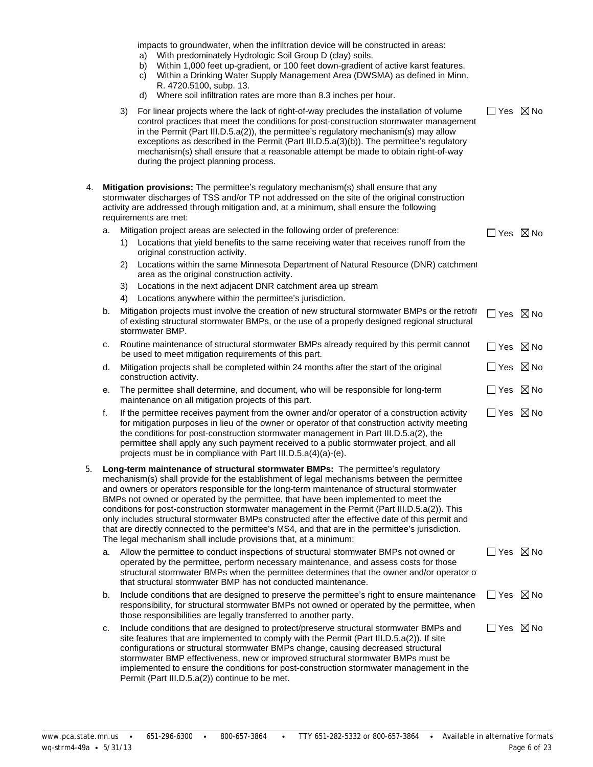|    |    |    | impacts to groundwater, when the infiltration device will be constructed in areas:<br>With predominately Hydrologic Soil Group D (clay) soils.<br>a)<br>Within 1,000 feet up-gradient, or 100 feet down-gradient of active karst features.<br>b)<br>Within a Drinking Water Supply Management Area (DWSMA) as defined in Minn.<br>C)<br>R. 4720.5100, subp. 13.<br>Where soil infiltration rates are more than 8.3 inches per hour.<br>d)                                                                                                                                                                                                                                                                                                         |                           |  |
|----|----|----|---------------------------------------------------------------------------------------------------------------------------------------------------------------------------------------------------------------------------------------------------------------------------------------------------------------------------------------------------------------------------------------------------------------------------------------------------------------------------------------------------------------------------------------------------------------------------------------------------------------------------------------------------------------------------------------------------------------------------------------------------|---------------------------|--|
|    |    | 3) | For linear projects where the lack of right-of-way precludes the installation of volume<br>control practices that meet the conditions for post-construction stormwater management<br>in the Permit (Part III.D.5.a(2)), the permittee's regulatory mechanism(s) may allow<br>exceptions as described in the Permit (Part III.D.5.a(3)(b)). The permittee's regulatory<br>mechanism(s) shall ensure that a reasonable attempt be made to obtain right-of-way<br>during the project planning process.                                                                                                                                                                                                                                               | $\Box$ Yes $\boxtimes$ No |  |
| 4. |    |    | Mitigation provisions: The permittee's regulatory mechanism(s) shall ensure that any<br>stormwater discharges of TSS and/or TP not addressed on the site of the original construction<br>activity are addressed through mitigation and, at a minimum, shall ensure the following<br>requirements are met:                                                                                                                                                                                                                                                                                                                                                                                                                                         |                           |  |
|    | a. |    | Mitigation project areas are selected in the following order of preference:                                                                                                                                                                                                                                                                                                                                                                                                                                                                                                                                                                                                                                                                       | □ Yes ⊠ No                |  |
|    |    |    | 1) Locations that yield benefits to the same receiving water that receives runoff from the<br>original construction activity.                                                                                                                                                                                                                                                                                                                                                                                                                                                                                                                                                                                                                     |                           |  |
|    |    | 2) | Locations within the same Minnesota Department of Natural Resource (DNR) catchment<br>area as the original construction activity.                                                                                                                                                                                                                                                                                                                                                                                                                                                                                                                                                                                                                 |                           |  |
|    |    | 3) | Locations in the next adjacent DNR catchment area up stream                                                                                                                                                                                                                                                                                                                                                                                                                                                                                                                                                                                                                                                                                       |                           |  |
|    |    | 4) | Locations anywhere within the permittee's jurisdiction.                                                                                                                                                                                                                                                                                                                                                                                                                                                                                                                                                                                                                                                                                           |                           |  |
|    | b. |    | Mitigation projects must involve the creation of new structural stormwater BMPs or the retrofi<br>of existing structural stormwater BMPs, or the use of a properly designed regional structural<br>stormwater BMP.                                                                                                                                                                                                                                                                                                                                                                                                                                                                                                                                | $\Box$ Yes $\boxtimes$ No |  |
|    | c. |    | Routine maintenance of structural stormwater BMPs already required by this permit cannot<br>be used to meet mitigation requirements of this part.                                                                                                                                                                                                                                                                                                                                                                                                                                                                                                                                                                                                 | $\Box$ Yes $\boxtimes$ No |  |
|    | d. |    | Mitigation projects shall be completed within 24 months after the start of the original<br>construction activity.                                                                                                                                                                                                                                                                                                                                                                                                                                                                                                                                                                                                                                 | $\Box$ Yes $\boxtimes$ No |  |
|    | е. |    | The permittee shall determine, and document, who will be responsible for long-term<br>maintenance on all mitigation projects of this part.                                                                                                                                                                                                                                                                                                                                                                                                                                                                                                                                                                                                        | $\Box$ Yes $\boxtimes$ No |  |
|    | f. |    | If the permittee receives payment from the owner and/or operator of a construction activity<br>for mitigation purposes in lieu of the owner or operator of that construction activity meeting<br>the conditions for post-construction stormwater management in Part III.D.5.a(2), the<br>permittee shall apply any such payment received to a public stormwater project, and all<br>projects must be in compliance with Part III.D.5.a(4)(a)-(e).                                                                                                                                                                                                                                                                                                 | $\Box$ Yes $\boxtimes$ No |  |
| 5. |    |    | Long-term maintenance of structural stormwater BMPs: The permittee's regulatory<br>mechanism(s) shall provide for the establishment of legal mechanisms between the permittee<br>and owners or operators responsible for the long-term maintenance of structural stormwater<br>BMPs not owned or operated by the permittee, that have been implemented to meet the<br>conditions for post-construction stormwater management in the Permit (Part III.D.5.a(2)). This<br>only includes structural stormwater BMPs constructed after the effective date of this permit and<br>that are directly connected to the permittee's MS4, and that are in the permittee's jurisdiction.<br>The legal mechanism shall include provisions that, at a minimum: |                           |  |
|    | a. |    | Allow the permittee to conduct inspections of structural stormwater BMPs not owned or<br>operated by the permittee, perform necessary maintenance, and assess costs for those<br>structural stormwater BMPs when the permittee determines that the owner and/or operator of<br>that structural stormwater BMP has not conducted maintenance.                                                                                                                                                                                                                                                                                                                                                                                                      | $\Box$ Yes $\boxtimes$ No |  |
|    | b. |    | Include conditions that are designed to preserve the permittee's right to ensure maintenance<br>responsibility, for structural stormwater BMPs not owned or operated by the permittee, when<br>those responsibilities are legally transferred to another party.                                                                                                                                                                                                                                                                                                                                                                                                                                                                                   | $\Box$ Yes $\boxtimes$ No |  |
|    | c. |    | Include conditions that are designed to protect/preserve structural stormwater BMPs and<br>site features that are implemented to comply with the Permit (Part III.D.5.a(2)). If site<br>configurations or structural stormwater BMPs change, causing decreased structural<br>stormwater BMP effectiveness, new or improved structural stormwater BMPs must be<br>implemented to ensure the conditions for post-construction stormwater management in the<br>Permit (Part III.D.5.a(2)) continue to be met.                                                                                                                                                                                                                                        | $\Box$ Yes $\boxtimes$ No |  |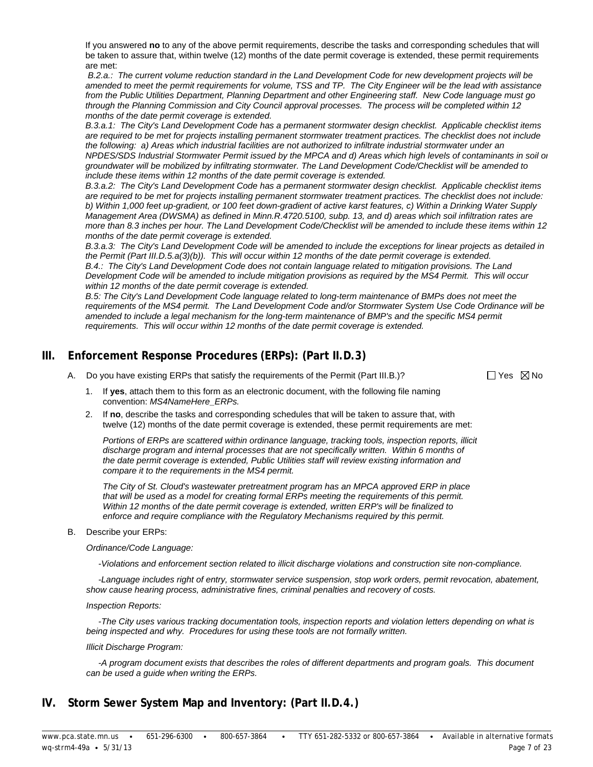If you answered **no** to any of the above permit requirements, describe the tasks and corresponding schedules that will be taken to assure that, within twelve (12) months of the date permit coverage is extended, these permit requirements are met:

*B.2.a.: The current volume reduction standard in the Land Development Code for new development projects will be amended to meet the permit requirements for volume, TSS and TP. The City Engineer will be the lead with assistance from the Public Utilities Department, Planning Department and other Engineering staff. New Code language must go through the Planning Commission and City Council approval processes. The process will be completed within 12 months of the date permit coverage is extended.*

*B.3.a.1: The City's Land Development Code has a permanent stormwater design checklist. Applicable checklist items are required to be met for projects installing permanent stormwater treatment practices. The checklist does not include the following: a) Areas which industrial facilities are not authorized to infiltrate industrial stormwater under an NPDES/SDS Industrial Stormwater Permit issued by the MPCA and d) Areas which high levels of contaminants in soil or groundwater will be mobilized by infiltrating stormwater. The Land Development Code/Checklist will be amended to include these items within 12 months of the date permit coverage is extended.*

*B.3.a.2: The City's Land Development Code has a permanent stormwater design checklist. Applicable checklist items are required to be met for projects installing permanent stormwater treatment practices. The checklist does not include: b) Within 1,000 feet up-gradient, or 100 feet down-gradient of active karst features, c) Within a Drinking Water Supply Management Area (DWSMA) as defined in Minn.R.4720.5100, subp. 13, and d) areas which soil infiltration rates are more than 8.3 inches per hour. The Land Development Code/Checklist will be amended to include these items within 12 months of the date permit coverage is extended.*

*B.3.a.3: The City's Land Development Code will be amended to include the exceptions for linear projects as detailed in the Permit (Part III.D.5.a(3)(b)). This will occur within 12 months of the date permit coverage is extended. B.4.: The City's Land Development Code does not contain language related to mitigation provisions. The Land Development Code will be amended to include mitigation provisions as required by the MS4 Permit. This will occur within 12 months of the date permit coverage is extended.*

*B.5: The City's Land Development Code language related to long-term maintenance of BMPs does not meet the requirements of the MS4 permit. The Land Development Code and/or Stormwater System Use Code Ordinance will be amended to include a legal mechanism for the long-term maintenance of BMP's and the specific MS4 permit requirements. This will occur within 12 months of the date permit coverage is extended.*

# **III. Enforcement Response Procedures (ERPs): (Part II.D.3)**

A. Do you have existing ERPs that satisfy the requirements of the Permit (Part III.B.)?  $\square$  Yes  $\boxtimes$  No

- 1. If **yes**, attach them to this form as an electronic document, with the following file naming convention: *MS4NameHere\_ERPs.*
- 2. If **no**, describe the tasks and corresponding schedules that will be taken to assure that, with twelve (12) months of the date permit coverage is extended, these permit requirements are met:

*Portions of ERPs are scattered within ordinance language, tracking tools, inspection reports, illicit discharge program and internal processes that are not specifically written. Within 6 months of the date permit coverage is extended, Public Utilities staff will review existing information and compare it to the requirements in the MS4 permit.*

*The City of St. Cloud's wastewater pretreatment program has an MPCA approved ERP in place that will be used as a model for creating formal ERPs meeting the requirements of this permit. Within 12 months of the date permit coverage is extended, written ERP's will be finalized to enforce and require compliance with the Regulatory Mechanisms required by this permit.*

B. Describe your ERPs:

*Ordinance/Code Language:*

 *-Violations and enforcement section related to illicit discharge violations and construction site non-compliance.*

 *-Language includes right of entry, stormwater service suspension, stop work orders, permit revocation, abatement, show cause hearing process, administrative fines, criminal penalties and recovery of costs.*

#### *Inspection Reports:*

 *-The City uses various tracking documentation tools, inspection reports and violation letters depending on what is being inspected and why. Procedures for using these tools are not formally written.*

#### *Illicit Discharge Program:*

 *-A program document exists that describes the roles of different departments and program goals. This document can be used a guide when writing the ERPs.*

# **IV. Storm Sewer System Map and Inventory: (Part II.D.4.)**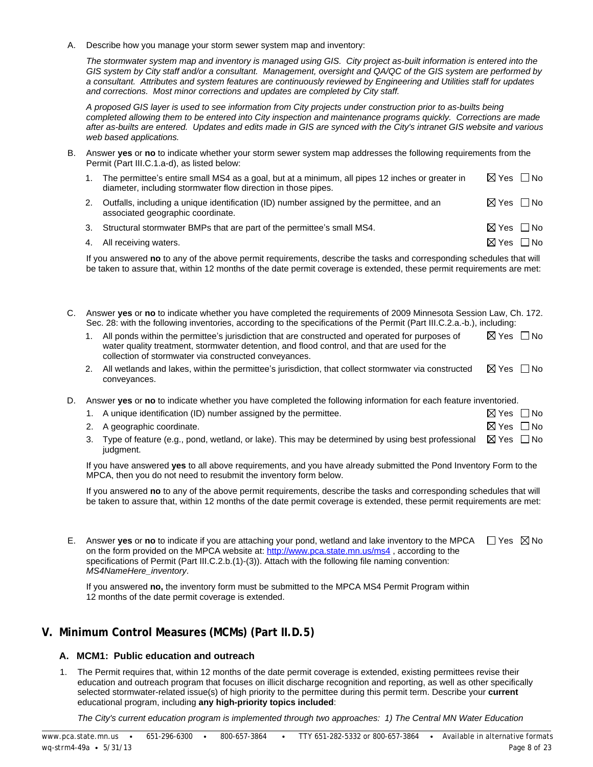A. Describe how you manage your storm sewer system map and inventory:

*The stormwater system map and inventory is managed using GIS. City project as-built information is entered into the GIS system by City staff and/or a consultant. Management, oversight and QA/QC of the GIS system are performed by a consultant. Attributes and system features are continuously reviewed by Engineering and Utilities staff for updates and corrections. Most minor corrections and updates are completed by City staff.* 

*A proposed GIS layer is used to see information from City projects under construction prior to as-builts being completed allowing them to be entered into City inspection and maintenance programs quickly. Corrections are made after as-builts are entered. Updates and edits made in GIS are synced with the City's intranet GIS website and various web based applications.*

B. Answer **yes** or **no** to indicate whether your storm sewer system map addresses the following requirements from the Permit (Part III.C.1.a-d), as listed below:

| The permittee's entire small MS4 as a goal, but at a minimum, all pipes 12 inches or greater in<br>diameter, including stormwater flow direction in those pipes. | ⊠ Yes □ No                |  |
|------------------------------------------------------------------------------------------------------------------------------------------------------------------|---------------------------|--|
| Outfalls, including a unique identification (ID) number assigned by the permittee, and an<br>associated geographic coordinate.                                   | $\boxtimes$ Yes $\Box$ No |  |

- 3. Structural stormwater BMPs that are part of the permittee's small MS4.  $\boxtimes$  Yes  $\Box$  No
- 4. All receiving waters.  $\Box$  No  $\Box$  No  $\Box$  No  $\Box$  No  $\Box$  No  $\Box$  No  $\Box$  No  $\Box$  No  $\Box$  No  $\Box$  No  $\Box$  No  $\Box$  No  $\Box$  No  $\Box$  No  $\Box$  No  $\Box$  No  $\Box$  No  $\Box$  No  $\Box$  No  $\Box$  No  $\Box$  No  $\Box$  No  $\Box$  No  $\Box$  No  $\Box$

If you answered **no** to any of the above permit requirements, describe the tasks and corresponding schedules that will be taken to assure that, within 12 months of the date permit coverage is extended, these permit requirements are met:

C. Answer **yes** or **no** to indicate whether you have completed the requirements of 2009 Minnesota Session Law, Ch. 172. Sec. 28: with the following inventories, according to the specifications of the Permit (Part III.C.2.a.-b.), including:

| All ponds within the permittee's jurisdiction that are constructed and operated for purposes of | ⊠ Yes ∩No |  |
|-------------------------------------------------------------------------------------------------|-----------|--|
| water quality treatment, stormwater detention, and flood control, and that are used for the     |           |  |
| collection of stormwater via constructed conveyances.                                           |           |  |
|                                                                                                 |           |  |

- 2. All wetlands and lakes, within the permittee's jurisdiction, that collect stormwater via constructed conveyances.  $\boxtimes$  Yes  $\Box$  No
- D. Answer **yes** or **no** to indicate whether you have completed the following information for each feature inventoried.

| 1. A unique identification (ID) number assigned by the permittee.                                                              | ⊠ Yes □ No                |  |
|--------------------------------------------------------------------------------------------------------------------------------|---------------------------|--|
| 2. A geographic coordinate.                                                                                                    | $\boxtimes$ Yes $\Box$ No |  |
| 3. Type of feature (e.g., pond, wetland, or lake). This may be determined by using best professional $\boxtimes$ Yes $\Box$ No |                           |  |

judgment.

If you have answered **yes** to all above requirements, and you have already submitted the Pond Inventory Form to the MPCA, then you do not need to resubmit the inventory form below.

If you answered **no** to any of the above permit requirements, describe the tasks and corresponding schedules that will be taken to assure that, within 12 months of the date permit coverage is extended, these permit requirements are met:

E. Answer yes or no to indicate if you are attaching your pond, wetland and lake inventory to the MPCA UJ Yes ∑No on the form provided on the MPCA website at: <http://www.pca.state.mn.us/ms4>, according to the specifications of Permit (Part III.C.2.b.(1)-(3)). Attach with the following file naming convention: *MS4NameHere\_inventory*.

If you answered **no,** the inventory form must be submitted to the MPCA MS4 Permit Program within 12 months of the date permit coverage is extended.

## **V. Minimum Control Measures (MCMs) (Part II.D.5)**

#### **A. MCM1: Public education and outreach**

1. The Permit requires that, within 12 months of the date permit coverage is extended, existing permittees revise their education and outreach program that focuses on illicit discharge recognition and reporting, as well as other specifically selected stormwater-related issue(s) of high priority to the permittee during this permit term. Describe your **current** educational program, including **any high-priority topics included**:

*The City's current education program is implemented through two approaches: 1) The Central MN Water Education*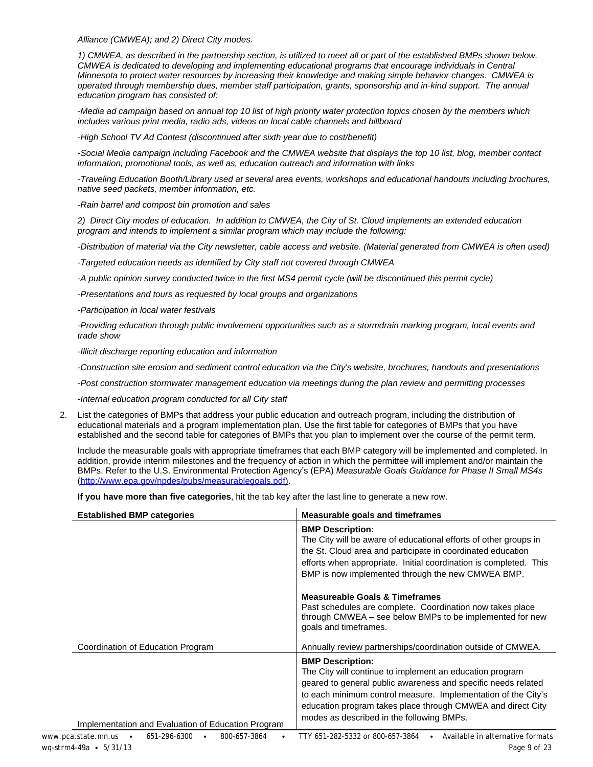*Alliance (CMWEA); and 2) Direct City modes.*

*1) CMWEA, as described in the partnership section, is utilized to meet all or part of the established BMPs shown below. CMWEA is dedicated to developing and implementing educational programs that encourage individuals in Central Minnesota to protect water resources by increasing their knowledge and making simple behavior changes. CMWEA is operated through membership dues, member staff participation, grants, sponsorship and in-kind support. The annual education program has consisted of:*

*-Media ad campaign based on annual top 10 list of high priority water protection topics chosen by the members which includes various print media, radio ads, videos on local cable channels and billboard*

*-High School TV Ad Contest (discontinued after sixth year due to cost/benefit)*

*-Social Media campaign including Facebook and the CMWEA website that displays the top 10 list, blog, member contact information, promotional tools, as well as, education outreach and information with links* 

*-Traveling Education Booth/Library used at several area events, workshops and educational handouts including brochures, native seed packets, member information, etc.* 

*-Rain barrel and compost bin promotion and sales*

*2) Direct City modes of education. In addition to CMWEA, the City of St. Cloud implements an extended education program and intends to implement a similar program which may include the following:*

*-Distribution of material via the City newsletter, cable access and website. (Material generated from CMWEA is often used)*

*-Targeted education needs as identified by City staff not covered through CMWEA*

*-A public opinion survey conducted twice in the first MS4 permit cycle (will be discontinued this permit cycle)*

*-Presentations and tours as requested by local groups and organizations*

*-Participation in local water festivals*

*-Providing education through public involvement opportunities such as a stormdrain marking program, local events and trade show*

*-Illicit discharge reporting education and information*

*-Construction site erosion and sediment control education via the City's website, brochures, handouts and presentations*

*-Post construction stormwater management education via meetings during the plan review and permitting processes*

*-Internal education program conducted for all City staff*

2. List the categories of BMPs that address your public education and outreach program, including the distribution of educational materials and a program implementation plan. Use the first table for categories of BMPs that you have established and the second table for categories of BMPs that you plan to implement over the course of the permit term.

Include the measurable goals with appropriate timeframes that each BMP category will be implemented and completed. In addition, provide interim milestones and the frequency of action in which the permittee will implement and/or maintain the BMPs. Refer to the U.S. Environmental Protection Agency's (EPA) *Measurable Goals Guidance for Phase II Small MS4s* [\(http://www.epa.gov/npdes/pubs/measurablegoals.pdf\)](http://www.epa.gov/npdes/pubs/measurablegoals.pdf).

**If you have more than five categories**, hit the tab key after the last line to generate a new row.

| <b>Established BMP categories</b>                                  | <b>Measurable goals and timeframes</b>                                                                                                                                                                                                                                                                                            |
|--------------------------------------------------------------------|-----------------------------------------------------------------------------------------------------------------------------------------------------------------------------------------------------------------------------------------------------------------------------------------------------------------------------------|
|                                                                    | <b>BMP Description:</b><br>The City will be aware of educational efforts of other groups in<br>the St. Cloud area and participate in coordinated education<br>efforts when appropriate. Initial coordination is completed. This<br>BMP is now implemented through the new CMWEA BMP.                                              |
|                                                                    | <b>Measureable Goals &amp; Timeframes</b><br>Past schedules are complete. Coordination now takes place<br>through CMWEA - see below BMPs to be implemented for new<br>goals and timeframes.                                                                                                                                       |
| Coordination of Education Program                                  | Annually review partnerships/coordination outside of CMWEA.                                                                                                                                                                                                                                                                       |
| Implementation and Evaluation of Education Program                 | <b>BMP Description:</b><br>The City will continue to implement an education program<br>geared to general public awareness and specific needs related<br>to each minimum control measure. Implementation of the City's<br>education program takes place through CMWEA and direct City<br>modes as described in the following BMPs. |
| www.pca.state.mn.us •<br>651-296-6300<br>800-657-3864<br>$\bullet$ | Available in alternative formats<br>TTY 651-282-5332 or 800-657-3864                                                                                                                                                                                                                                                              |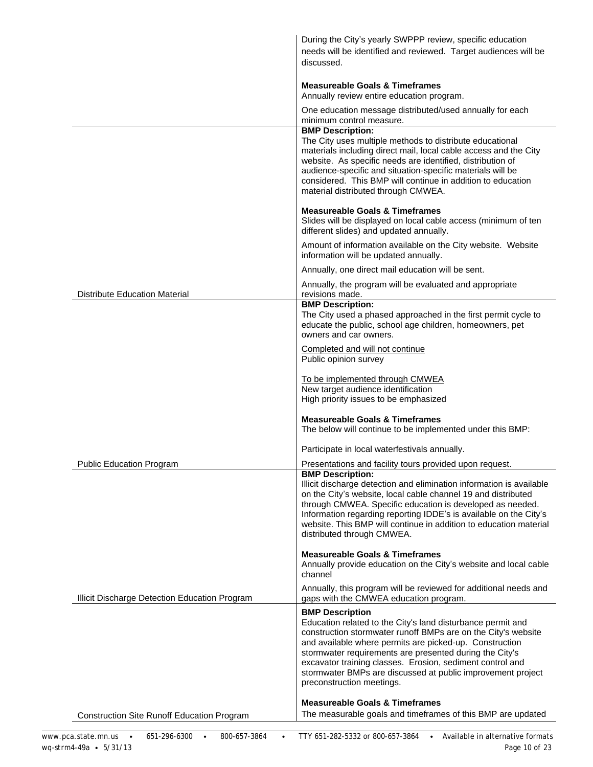|                                                   | During the City's yearly SWPPP review, specific education<br>needs will be identified and reviewed. Target audiences will be<br>discussed.                                                                                                                                                                                                                                                                                            |
|---------------------------------------------------|---------------------------------------------------------------------------------------------------------------------------------------------------------------------------------------------------------------------------------------------------------------------------------------------------------------------------------------------------------------------------------------------------------------------------------------|
|                                                   | <b>Measureable Goals &amp; Timeframes</b><br>Annually review entire education program.                                                                                                                                                                                                                                                                                                                                                |
|                                                   | One education message distributed/used annually for each<br>minimum control measure.                                                                                                                                                                                                                                                                                                                                                  |
|                                                   | <b>BMP Description:</b><br>The City uses multiple methods to distribute educational<br>materials including direct mail, local cable access and the City<br>website. As specific needs are identified, distribution of<br>audience-specific and situation-specific materials will be<br>considered. This BMP will continue in addition to education<br>material distributed through CMWEA.                                             |
|                                                   | <b>Measureable Goals &amp; Timeframes</b><br>Slides will be displayed on local cable access (minimum of ten<br>different slides) and updated annually.                                                                                                                                                                                                                                                                                |
|                                                   | Amount of information available on the City website. Website<br>information will be updated annually.                                                                                                                                                                                                                                                                                                                                 |
|                                                   | Annually, one direct mail education will be sent.                                                                                                                                                                                                                                                                                                                                                                                     |
| <b>Distribute Education Material</b>              | Annually, the program will be evaluated and appropriate<br>revisions made.                                                                                                                                                                                                                                                                                                                                                            |
|                                                   | <b>BMP Description:</b><br>The City used a phased approached in the first permit cycle to<br>educate the public, school age children, homeowners, pet<br>owners and car owners.                                                                                                                                                                                                                                                       |
|                                                   | Completed and will not continue<br>Public opinion survey                                                                                                                                                                                                                                                                                                                                                                              |
|                                                   | To be implemented through CMWEA<br>New target audience identification<br>High priority issues to be emphasized                                                                                                                                                                                                                                                                                                                        |
|                                                   | <b>Measureable Goals &amp; Timeframes</b><br>The below will continue to be implemented under this BMP:                                                                                                                                                                                                                                                                                                                                |
|                                                   | Participate in local waterfestivals annually.                                                                                                                                                                                                                                                                                                                                                                                         |
| <b>Public Education Program</b>                   | Presentations and facility tours provided upon request.                                                                                                                                                                                                                                                                                                                                                                               |
|                                                   | <b>BMP Description:</b><br>Illicit discharge detection and elimination information is available<br>on the City's website, local cable channel 19 and distributed<br>through CMWEA. Specific education is developed as needed.<br>Information regarding reporting IDDE's is available on the City's<br>website. This BMP will continue in addition to education material<br>distributed through CMWEA.                                 |
|                                                   | <b>Measureable Goals &amp; Timeframes</b><br>Annually provide education on the City's website and local cable<br>channel                                                                                                                                                                                                                                                                                                              |
| Illicit Discharge Detection Education Program     | Annually, this program will be reviewed for additional needs and<br>gaps with the CMWEA education program.                                                                                                                                                                                                                                                                                                                            |
|                                                   | <b>BMP Description</b><br>Education related to the City's land disturbance permit and<br>construction stormwater runoff BMPs are on the City's website<br>and available where permits are picked-up. Construction<br>stormwater requirements are presented during the City's<br>excavator training classes. Erosion, sediment control and<br>stormwater BMPs are discussed at public improvement project<br>preconstruction meetings. |
| <b>Construction Site Runoff Education Program</b> | <b>Measureable Goals &amp; Timeframes</b><br>The measurable goals and timeframes of this BMP are updated                                                                                                                                                                                                                                                                                                                              |
|                                                   |                                                                                                                                                                                                                                                                                                                                                                                                                                       |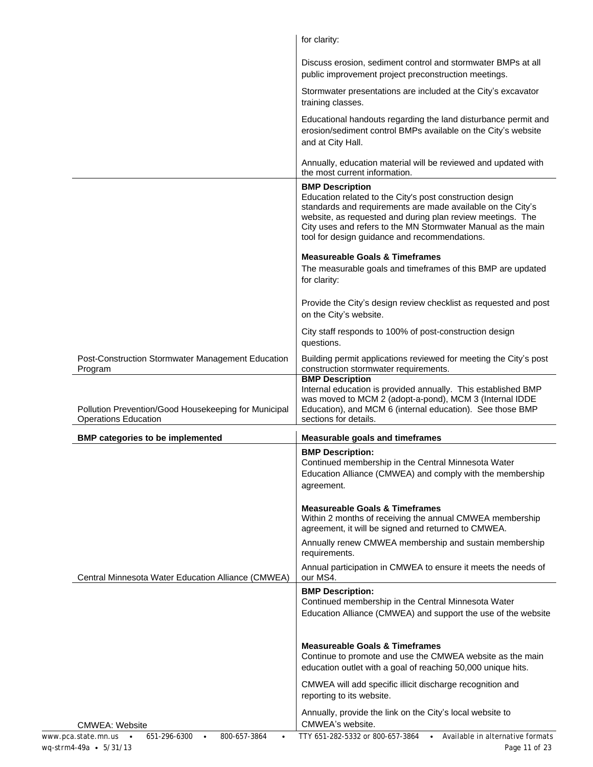|                                                                                                                                                     | for clarity:                                                                                                                                                                                                                                                                                                                                           |
|-----------------------------------------------------------------------------------------------------------------------------------------------------|--------------------------------------------------------------------------------------------------------------------------------------------------------------------------------------------------------------------------------------------------------------------------------------------------------------------------------------------------------|
|                                                                                                                                                     | Discuss erosion, sediment control and stormwater BMPs at all<br>public improvement project preconstruction meetings.                                                                                                                                                                                                                                   |
|                                                                                                                                                     | Stormwater presentations are included at the City's excavator<br>training classes.                                                                                                                                                                                                                                                                     |
|                                                                                                                                                     | Educational handouts regarding the land disturbance permit and<br>erosion/sediment control BMPs available on the City's website<br>and at City Hall.                                                                                                                                                                                                   |
|                                                                                                                                                     | Annually, education material will be reviewed and updated with<br>the most current information.                                                                                                                                                                                                                                                        |
|                                                                                                                                                     | <b>BMP Description</b><br>Education related to the City's post construction design<br>standards and requirements are made available on the City's<br>website, as requested and during plan review meetings. The<br>City uses and refers to the MN Stormwater Manual as the main<br>tool for design guidance and recommendations.                       |
|                                                                                                                                                     | <b>Measureable Goals &amp; Timeframes</b><br>The measurable goals and timeframes of this BMP are updated<br>for clarity:                                                                                                                                                                                                                               |
|                                                                                                                                                     | Provide the City's design review checklist as requested and post<br>on the City's website.                                                                                                                                                                                                                                                             |
|                                                                                                                                                     | City staff responds to 100% of post-construction design<br>questions.                                                                                                                                                                                                                                                                                  |
| Post-Construction Stormwater Management Education<br>Program<br>Pollution Prevention/Good Housekeeping for Municipal<br><b>Operations Education</b> | Building permit applications reviewed for meeting the City's post<br>construction stormwater requirements.<br><b>BMP Description</b><br>Internal education is provided annually. This established BMP<br>was moved to MCM 2 (adopt-a-pond), MCM 3 (Internal IDDE<br>Education), and MCM 6 (internal education). See those BMP<br>sections for details. |
| <b>BMP categories to be implemented</b>                                                                                                             | <b>Measurable goals and timeframes</b>                                                                                                                                                                                                                                                                                                                 |
|                                                                                                                                                     | <b>BMP Description:</b><br>Continued membership in the Central Minnesota Water<br>Education Alliance (CMWEA) and comply with the membership<br>agreement.                                                                                                                                                                                              |
|                                                                                                                                                     | <b>Measureable Goals &amp; Timeframes</b><br>Within 2 months of receiving the annual CMWEA membership<br>agreement, it will be signed and returned to CMWEA.                                                                                                                                                                                           |
|                                                                                                                                                     | Annually renew CMWEA membership and sustain membership<br>requirements.                                                                                                                                                                                                                                                                                |
| Central Minnesota Water Education Alliance (CMWEA)                                                                                                  | Annual participation in CMWEA to ensure it meets the needs of<br>our MS4.                                                                                                                                                                                                                                                                              |
|                                                                                                                                                     | <b>BMP Description:</b><br>Continued membership in the Central Minnesota Water<br>Education Alliance (CMWEA) and support the use of the website                                                                                                                                                                                                        |
|                                                                                                                                                     | <b>Measureable Goals &amp; Timeframes</b><br>Continue to promote and use the CMWEA website as the main<br>education outlet with a goal of reaching 50,000 unique hits.                                                                                                                                                                                 |
|                                                                                                                                                     | CMWEA will add specific illicit discharge recognition and<br>reporting to its website.                                                                                                                                                                                                                                                                 |
| <b>CMWEA: Website</b>                                                                                                                               | Annually, provide the link on the City's local website to<br>CMWEA's website.                                                                                                                                                                                                                                                                          |
| 800-657-3864<br>www.pca.state.mn.us<br>651-296-6300<br>$\bullet$<br>$\bullet$<br>wq-strm4-49a · 5/31/13                                             | TTY 651-282-5332 or 800-657-3864<br>Available in alternative formats<br>$\bullet$<br>Page 11 of 23                                                                                                                                                                                                                                                     |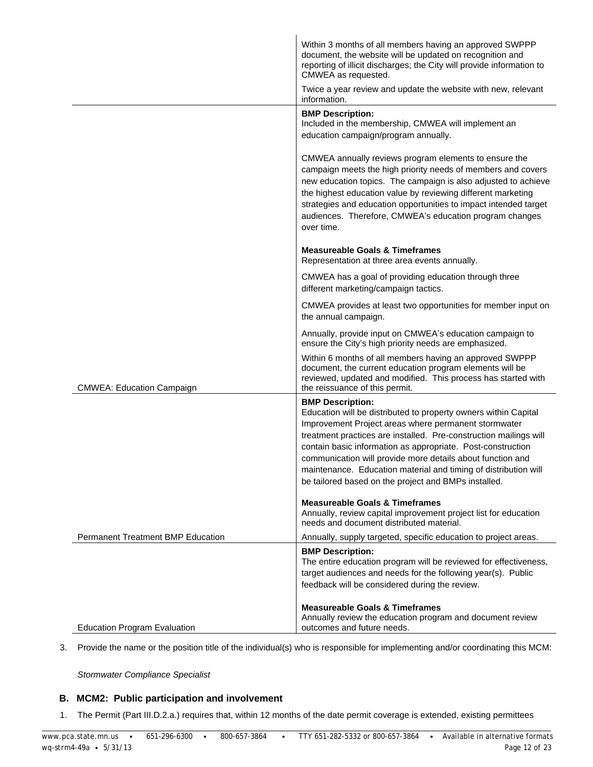|                                          | Within 3 months of all members having an approved SWPPP<br>document, the website will be updated on recognition and<br>reporting of illicit discharges; the City will provide information to<br>CMWEA as requested.<br>Twice a year review and update the website with new, relevant                                                                                                                                                                                            |
|------------------------------------------|---------------------------------------------------------------------------------------------------------------------------------------------------------------------------------------------------------------------------------------------------------------------------------------------------------------------------------------------------------------------------------------------------------------------------------------------------------------------------------|
|                                          | information.                                                                                                                                                                                                                                                                                                                                                                                                                                                                    |
|                                          | <b>BMP Description:</b><br>Included in the membership, CMWEA will implement an<br>education campaign/program annually.                                                                                                                                                                                                                                                                                                                                                          |
|                                          | CMWEA annually reviews program elements to ensure the<br>campaign meets the high priority needs of members and covers<br>new education topics. The campaign is also adjusted to achieve<br>the highest education value by reviewing different marketing<br>strategies and education opportunities to impact intended target<br>audiences. Therefore, CMWEA's education program changes<br>over time.                                                                            |
|                                          | <b>Measureable Goals &amp; Timeframes</b><br>Representation at three area events annually.                                                                                                                                                                                                                                                                                                                                                                                      |
|                                          | CMWEA has a goal of providing education through three<br>different marketing/campaign tactics.                                                                                                                                                                                                                                                                                                                                                                                  |
|                                          | CMWEA provides at least two opportunities for member input on<br>the annual campaign.                                                                                                                                                                                                                                                                                                                                                                                           |
|                                          | Annually, provide input on CMWEA's education campaign to<br>ensure the City's high priority needs are emphasized.                                                                                                                                                                                                                                                                                                                                                               |
| <b>CMWEA: Education Campaign</b>         | Within 6 months of all members having an approved SWPPP<br>document, the current education program elements will be<br>reviewed, updated and modified. This process has started with<br>the reissuance of this permit.                                                                                                                                                                                                                                                          |
|                                          | <b>BMP Description:</b><br>Education will be distributed to property owners within Capital<br>Improvement Project areas where permanent stormwater<br>treatment practices are installed. Pre-construction mailings will<br>contain basic information as appropriate. Post-construction<br>communication will provide more details about function and<br>maintenance. Education material and timing of distribution will<br>be tailored based on the project and BMPs installed. |
|                                          | <b>Measureable Goals &amp; Timeframes</b><br>Annually, review capital improvement project list for education<br>needs and document distributed material.                                                                                                                                                                                                                                                                                                                        |
| <b>Permanent Treatment BMP Education</b> | Annually, supply targeted, specific education to project areas.                                                                                                                                                                                                                                                                                                                                                                                                                 |
|                                          | <b>BMP Description:</b><br>The entire education program will be reviewed for effectiveness,<br>target audiences and needs for the following year(s). Public<br>feedback will be considered during the review.                                                                                                                                                                                                                                                                   |
| <b>Education Program Evaluation</b>      | <b>Measureable Goals &amp; Timeframes</b><br>Annually review the education program and document review<br>outcomes and future needs.                                                                                                                                                                                                                                                                                                                                            |

3. Provide the name or the position title of the individual(s) who is responsible for implementing and/or coordinating this MCM:

*Stormwater Compliance Specialist*

### **B. MCM2: Public participation and involvement**

1. The Permit (Part III.D.2.a.) requires that, within 12 months of the date permit coverage is extended, existing permittees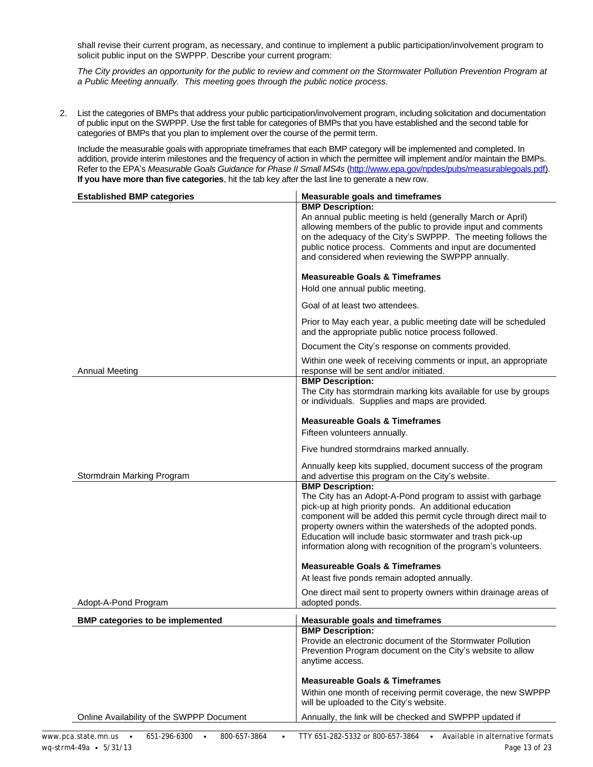shall revise their current program, as necessary, and continue to implement a public participation/involvement program to solicit public input on the SWPPP. Describe your current program:

*The City provides an opportunity for the public to review and comment on the Stormwater Pollution Prevention Program at a Public Meeting annually. This meeting goes through the public notice process.*

2. List the categories of BMPs that address your public participation/involvement program, including solicitation and documentation of public input on the SWPPP. Use the first table for categories of BMPs that you have established and the second table for categories of BMPs that you plan to implement over the course of the permit term.

Include the measurable goals with appropriate timeframes that each BMP category will be implemented and completed. In addition, provide interim milestones and the frequency of action in which the permittee will implement and/or maintain the BMPs. Refer to the EPA's *Measurable Goals Guidance for Phase II Small MS4s* [\(http://www.epa.gov/npdes/pubs/measurablegoals.pdf](http://www.epa.gov/npdes/pubs/measurablegoals.pdf)). **If you have more than five categories**, hit the tab key after the last line to generate a new row.

| <b>BMP Description:</b><br>An annual public meeting is held (generally March or April)<br>allowing members of the public to provide input and comments<br>on the adequacy of the City's SWPPP. The meeting follows the<br>public notice process. Comments and input are documented<br>and considered when reviewing the SWPPP annually.<br><b>Measureable Goals &amp; Timeframes</b><br>Hold one annual public meeting.<br>Goal of at least two attendees.<br>Prior to May each year, a public meeting date will be scheduled<br>and the appropriate public notice process followed.<br>Document the City's response on comments provided.<br>Within one week of receiving comments or input, an appropriate<br><b>Annual Meeting</b><br>response will be sent and/or initiated.<br><b>BMP Description:</b> | <b>Established BMP categories</b> | <b>Measurable goals and timeframes</b>                           |
|-------------------------------------------------------------------------------------------------------------------------------------------------------------------------------------------------------------------------------------------------------------------------------------------------------------------------------------------------------------------------------------------------------------------------------------------------------------------------------------------------------------------------------------------------------------------------------------------------------------------------------------------------------------------------------------------------------------------------------------------------------------------------------------------------------------|-----------------------------------|------------------------------------------------------------------|
|                                                                                                                                                                                                                                                                                                                                                                                                                                                                                                                                                                                                                                                                                                                                                                                                             |                                   |                                                                  |
|                                                                                                                                                                                                                                                                                                                                                                                                                                                                                                                                                                                                                                                                                                                                                                                                             |                                   |                                                                  |
|                                                                                                                                                                                                                                                                                                                                                                                                                                                                                                                                                                                                                                                                                                                                                                                                             |                                   |                                                                  |
|                                                                                                                                                                                                                                                                                                                                                                                                                                                                                                                                                                                                                                                                                                                                                                                                             |                                   |                                                                  |
|                                                                                                                                                                                                                                                                                                                                                                                                                                                                                                                                                                                                                                                                                                                                                                                                             |                                   |                                                                  |
|                                                                                                                                                                                                                                                                                                                                                                                                                                                                                                                                                                                                                                                                                                                                                                                                             |                                   |                                                                  |
| or individuals. Supplies and maps are provided.                                                                                                                                                                                                                                                                                                                                                                                                                                                                                                                                                                                                                                                                                                                                                             |                                   | The City has stormdrain marking kits available for use by groups |
| <b>Measureable Goals &amp; Timeframes</b><br>Fifteen volunteers annually.                                                                                                                                                                                                                                                                                                                                                                                                                                                                                                                                                                                                                                                                                                                                   |                                   |                                                                  |
| Five hundred stormdrains marked annually.                                                                                                                                                                                                                                                                                                                                                                                                                                                                                                                                                                                                                                                                                                                                                                   |                                   |                                                                  |
| Annually keep kits supplied, document success of the program<br>Stormdrain Marking Program<br>and advertise this program on the City's website.                                                                                                                                                                                                                                                                                                                                                                                                                                                                                                                                                                                                                                                             |                                   |                                                                  |
| <b>BMP Description:</b><br>The City has an Adopt-A-Pond program to assist with garbage<br>pick-up at high priority ponds. An additional education<br>component will be added this permit cycle through direct mail to<br>property owners within the watersheds of the adopted ponds.<br>Education will include basic stormwater and trash pick-up<br>information along with recognition of the program's volunteers.                                                                                                                                                                                                                                                                                                                                                                                        |                                   |                                                                  |
| <b>Measureable Goals &amp; Timeframes</b>                                                                                                                                                                                                                                                                                                                                                                                                                                                                                                                                                                                                                                                                                                                                                                   |                                   |                                                                  |
| At least five ponds remain adopted annually.                                                                                                                                                                                                                                                                                                                                                                                                                                                                                                                                                                                                                                                                                                                                                                |                                   |                                                                  |
| One direct mail sent to property owners within drainage areas of<br>adopted ponds.<br>Adopt-A-Pond Program                                                                                                                                                                                                                                                                                                                                                                                                                                                                                                                                                                                                                                                                                                  |                                   |                                                                  |
| <b>BMP categories to be implemented</b><br><b>Measurable goals and timeframes</b>                                                                                                                                                                                                                                                                                                                                                                                                                                                                                                                                                                                                                                                                                                                           |                                   |                                                                  |
| <b>BMP Description:</b><br>Provide an electronic document of the Stormwater Pollution<br>Prevention Program document on the City's website to allow<br>anytime access.                                                                                                                                                                                                                                                                                                                                                                                                                                                                                                                                                                                                                                      |                                   |                                                                  |
| <b>Measureable Goals &amp; Timeframes</b><br>Within one month of receiving permit coverage, the new SWPPP<br>will be uploaded to the City's website.                                                                                                                                                                                                                                                                                                                                                                                                                                                                                                                                                                                                                                                        |                                   |                                                                  |
| Annually, the link will be checked and SWPPP updated if<br>Online Availability of the SWPPP Document                                                                                                                                                                                                                                                                                                                                                                                                                                                                                                                                                                                                                                                                                                        |                                   |                                                                  |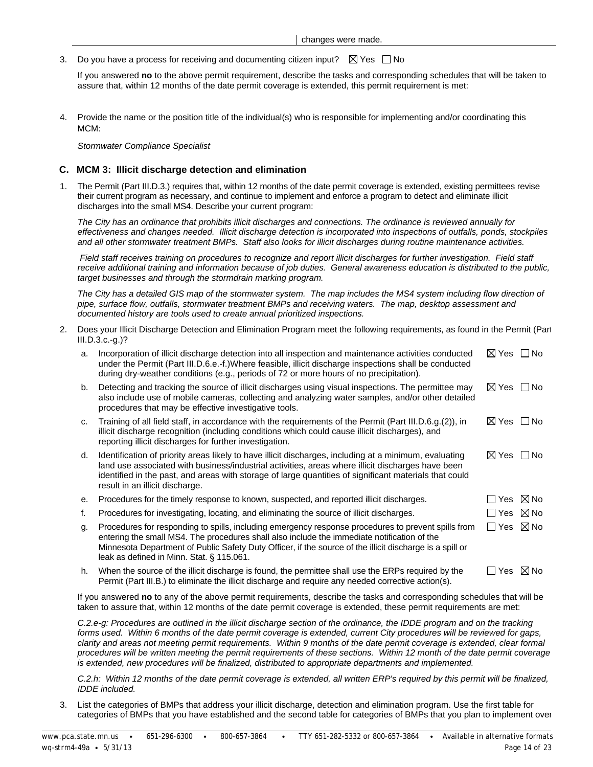3. Do you have a process for receiving and documenting citizen input?  $\boxtimes$  Yes  $\Box$  No

If you answered **no** to the above permit requirement, describe the tasks and corresponding schedules that will be taken to assure that, within 12 months of the date permit coverage is extended, this permit requirement is met:

4. Provide the name or the position title of the individual(s) who is responsible for implementing and/or coordinating this MCM:

*Stormwater Compliance Specialist*

#### **C. MCM 3: Illicit discharge detection and elimination**

1. The Permit (Part III.D.3.) requires that, within 12 months of the date permit coverage is extended, existing permittees revise their current program as necessary, and continue to implement and enforce a program to detect and eliminate illicit discharges into the small MS4. Describe your current program:

*The City has an ordinance that prohibits illicit discharges and connections. The ordinance is reviewed annually for effectiveness and changes needed. Illicit discharge detection is incorporated into inspections of outfalls, ponds, stockpiles and all other stormwater treatment BMPs. Staff also looks for illicit discharges during routine maintenance activities.* 

 *Field staff receives training on procedures to recognize and report illicit discharges for further investigation. Field staff receive additional training and information because of job duties. General awareness education is distributed to the public, target businesses and through the stormdrain marking program.* 

The City has a detailed GIS map of the stormwater system. The map includes the MS4 system including flow direction of *pipe, surface flow, outfalls, stormwater treatment BMPs and receiving waters. The map, desktop assessment and documented history are tools used to create annual prioritized inspections.*

2. Does your Illicit Discharge Detection and Elimination Program meet the following requirements, as found in the Permit (Part III.D.3.c.-g.)?

| a. | Incorporation of illicit discharge detection into all inspection and maintenance activities conducted<br>under the Permit (Part III.D.6.e.-f.) Where feasible, illicit discharge inspections shall be conducted<br>during dry-weather conditions (e.g., periods of 72 or more hours of no precipitation).                                                   | $\boxtimes$ Yes $\Box$ No |          |
|----|-------------------------------------------------------------------------------------------------------------------------------------------------------------------------------------------------------------------------------------------------------------------------------------------------------------------------------------------------------------|---------------------------|----------|
| b. | Detecting and tracking the source of illicit discharges using visual inspections. The permittee may<br>also include use of mobile cameras, collecting and analyzing water samples, and/or other detailed<br>procedures that may be effective investigative tools.                                                                                           | $\boxtimes$ Yes $\Box$ No |          |
| C. | Training of all field staff, in accordance with the requirements of the Permit (Part III.D.6.g.(2)), in<br>illicit discharge recognition (including conditions which could cause illicit discharges), and<br>reporting illicit discharges for further investigation.                                                                                        | ⊠ Yes □ No                |          |
| d. | Identification of priority areas likely to have illicit discharges, including at a minimum, evaluating<br>land use associated with business/industrial activities, areas where illicit discharges have been<br>identified in the past, and areas with storage of large quantities of significant materials that could<br>result in an illicit discharge.    | $\bowtie$ Yes $\Box$ No   |          |
| е. | Procedures for the timely response to known, suspected, and reported illicit discharges.                                                                                                                                                                                                                                                                    |                           | ∐Yes ⊠No |
| f. | Procedures for investigating, locating, and eliminating the source of illicit discharges.                                                                                                                                                                                                                                                                   |                           | ∃Yes ⊠No |
| g. | Procedures for responding to spills, including emergency response procedures to prevent spills from<br>entering the small MS4. The procedures shall also include the immediate notification of the<br>Minnesota Department of Public Safety Duty Officer, if the source of the illicit discharge is a spill or<br>leak as defined in Minn. Stat. § 115.061. | $\Box$ Yes $\boxtimes$ No |          |
| h. | When the source of the illicit discharge is found, the permittee shall use the ERPs required by the<br>Permit (Part III.B.) to eliminate the illicit discharge and require any needed corrective action(s).                                                                                                                                                 |                           | ⊿Yes ⊠No |
|    |                                                                                                                                                                                                                                                                                                                                                             |                           |          |

If you answered **no** to any of the above permit requirements, describe the tasks and corresponding schedules that will be taken to assure that, within 12 months of the date permit coverage is extended, these permit requirements are met:

*C.2.e-g: Procedures are outlined in the illicit discharge section of the ordinance, the IDDE program and on the tracking*  forms used. Within 6 months of the date permit coverage is extended, current City procedures will be reviewed for gaps, *clarity and areas not meeting permit requirements. Within 9 months of the date permit coverage is extended, clear formal procedures will be written meeting the permit requirements of these sections. Within 12 month of the date permit coverage is extended, new procedures will be finalized, distributed to appropriate departments and implemented.*

*C.2.h: Within 12 months of the date permit coverage is extended, all written ERP's required by this permit will be finalized, IDDE included.*

3. List the categories of BMPs that address your illicit discharge, detection and elimination program. Use the first table for categories of BMPs that you have established and the second table for categories of BMPs that you plan to implement over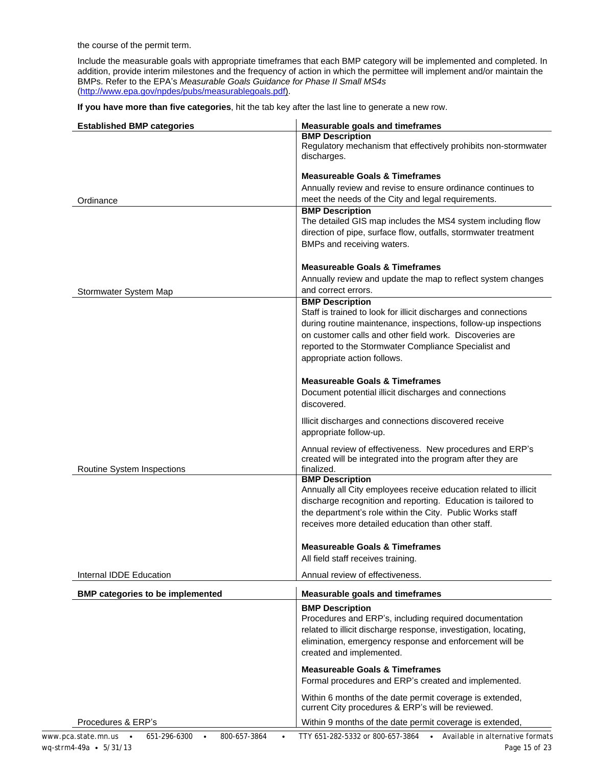the course of the permit term.

Include the measurable goals with appropriate timeframes that each BMP category will be implemented and completed. In addition, provide interim milestones and the frequency of action in which the permittee will implement and/or maintain the BMPs. Refer to the EPA's *Measurable Goals Guidance for Phase II Small MS4s* [\(http://www.epa.gov/npdes/pubs/measurablegoals.pdf\)](http://www.epa.gov/npdes/pubs/measurablegoals.pdf).

**If you have more than five categories**, hit the tab key after the last line to generate a new row.

| <b>Established BMP categories</b>                                | <b>Measurable goals and timeframes</b><br><b>BMP Description</b><br>Regulatory mechanism that effectively prohibits non-stormwater<br>discharges.                                                                                                                                                                                                        |
|------------------------------------------------------------------|----------------------------------------------------------------------------------------------------------------------------------------------------------------------------------------------------------------------------------------------------------------------------------------------------------------------------------------------------------|
| Ordinance                                                        | <b>Measureable Goals &amp; Timeframes</b><br>Annually review and revise to ensure ordinance continues to<br>meet the needs of the City and legal requirements.<br><b>BMP Description</b><br>The detailed GIS map includes the MS4 system including flow<br>direction of pipe, surface flow, outfalls, stormwater treatment<br>BMPs and receiving waters. |
| Stormwater System Map                                            | <b>Measureable Goals &amp; Timeframes</b><br>Annually review and update the map to reflect system changes<br>and correct errors.                                                                                                                                                                                                                         |
|                                                                  | <b>BMP Description</b><br>Staff is trained to look for illicit discharges and connections<br>during routine maintenance, inspections, follow-up inspections<br>on customer calls and other field work. Discoveries are<br>reported to the Stormwater Compliance Specialist and<br>appropriate action follows.                                            |
|                                                                  | <b>Measureable Goals &amp; Timeframes</b><br>Document potential illicit discharges and connections<br>discovered.                                                                                                                                                                                                                                        |
|                                                                  | Illicit discharges and connections discovered receive<br>appropriate follow-up.                                                                                                                                                                                                                                                                          |
| Routine System Inspections                                       | Annual review of effectiveness. New procedures and ERP's<br>created will be integrated into the program after they are<br>finalized.                                                                                                                                                                                                                     |
|                                                                  | <b>BMP Description</b><br>Annually all City employees receive education related to illicit<br>discharge recognition and reporting. Education is tailored to<br>the department's role within the City. Public Works staff<br>receives more detailed education than other staff.                                                                           |
|                                                                  | <b>Measureable Goals &amp; Timeframes</b><br>All field staff receives training.                                                                                                                                                                                                                                                                          |
| Internal IDDE Education                                          | Annual review of effectiveness.                                                                                                                                                                                                                                                                                                                          |
| <b>BMP categories to be implemented</b>                          | <b>Measurable goals and timeframes</b>                                                                                                                                                                                                                                                                                                                   |
|                                                                  | <b>BMP Description</b><br>Procedures and ERP's, including required documentation<br>related to illicit discharge response, investigation, locating,<br>elimination, emergency response and enforcement will be<br>created and implemented.                                                                                                               |
|                                                                  | <b>Measureable Goals &amp; Timeframes</b><br>Formal procedures and ERP's created and implemented.                                                                                                                                                                                                                                                        |
|                                                                  | Within 6 months of the date permit coverage is extended,<br>current City procedures & ERP's will be reviewed.                                                                                                                                                                                                                                            |
| Procedures & ERP's                                               | Within 9 months of the date permit coverage is extended,                                                                                                                                                                                                                                                                                                 |
| 651-296-6300<br>800-657-3864<br>www.pca.state.mn.us<br>$\bullet$ | Available in alternative formats<br>TTY 651-282-5332 or 800-657-3864<br>$\bullet$                                                                                                                                                                                                                                                                        |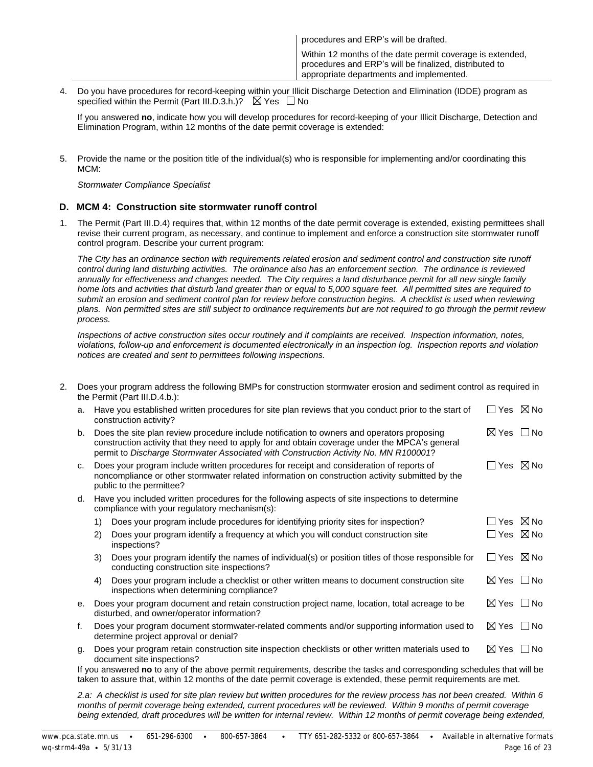| procedures and ERP's will be drafted.                                                                                                                           |
|-----------------------------------------------------------------------------------------------------------------------------------------------------------------|
| Within 12 months of the date permit coverage is extended,<br>procedures and ERP's will be finalized, distributed to<br>appropriate departments and implemented. |

4. Do you have procedures for record-keeping within your Illicit Discharge Detection and Elimination (IDDE) program as specified within the Permit (Part III.D.3.h.)?  $\boxtimes$  Yes  $\Box$  No

If you answered **no**, indicate how you will develop procedures for record-keeping of your Illicit Discharge, Detection and Elimination Program, within 12 months of the date permit coverage is extended:

5. Provide the name or the position title of the individual(s) who is responsible for implementing and/or coordinating this MCM:

*Stormwater Compliance Specialist*

#### **D. MCM 4: Construction site stormwater runoff control**

1. The Permit (Part III.D.4) requires that, within 12 months of the date permit coverage is extended, existing permittees shall revise their current program, as necessary, and continue to implement and enforce a construction site stormwater runoff control program. Describe your current program:

*The City has an ordinance section with requirements related erosion and sediment control and construction site runoff control during land disturbing activities. The ordinance also has an enforcement section. The ordinance is reviewed*  annually for effectiveness and changes needed. The City requires a land disturbance permit for all new single family *home lots and activities that disturb land greater than or equal to 5,000 square feet. All permitted sites are required to submit an erosion and sediment control plan for review before construction begins. A checklist is used when reviewing plans. Non permitted sites are still subject to ordinance requirements but are not required to go through the permit review process.*

*Inspections of active construction sites occur routinely and if complaints are received. Inspection information, notes, violations, follow-up and enforcement is documented electronically in an inspection log. Inspection reports and violation notices are created and sent to permittees following inspections.* 

2. Does your program address the following BMPs for construction stormwater erosion and sediment control as required in the Permit (Part III.D.4.b.):

| a. |    | Have you established written procedures for site plan reviews that you conduct prior to the start of<br>construction activity?                                                                                                                                                       | $\Box$ Yes $\boxtimes$ No |  |
|----|----|--------------------------------------------------------------------------------------------------------------------------------------------------------------------------------------------------------------------------------------------------------------------------------------|---------------------------|--|
| b. |    | Does the site plan review procedure include notification to owners and operators proposing<br>construction activity that they need to apply for and obtain coverage under the MPCA's general<br>permit to Discharge Stormwater Associated with Construction Activity No. MN R100001? | $\boxtimes$ Yes $\Box$ No |  |
| C. |    | Does your program include written procedures for receipt and consideration of reports of<br>noncompliance or other stormwater related information on construction activity submitted by the<br>public to the permittee?                                                              | $\Box$ Yes $\boxtimes$ No |  |
| d. |    | Have you included written procedures for the following aspects of site inspections to determine<br>compliance with your regulatory mechanism(s):                                                                                                                                     |                           |  |
|    | 1) | Does your program include procedures for identifying priority sites for inspection?                                                                                                                                                                                                  | $\Box$ Yes $\boxtimes$ No |  |
|    | 2) | Does your program identify a frequency at which you will conduct construction site<br>inspections?                                                                                                                                                                                   | $\Box$ Yes $\boxtimes$ No |  |
|    | 3) | Does your program identify the names of individual(s) or position titles of those responsible for<br>conducting construction site inspections?                                                                                                                                       | $\Box$ Yes $\boxtimes$ No |  |
|    | 4) | Does your program include a checklist or other written means to document construction site<br>inspections when determining compliance?                                                                                                                                               | $\boxtimes$ Yes $\Box$ No |  |
| е. |    | Does your program document and retain construction project name, location, total acreage to be<br>disturbed, and owner/operator information?                                                                                                                                         | $\boxtimes$ Yes $\Box$ No |  |
| f. |    | Does your program document stormwater-related comments and/or supporting information used to<br>determine project approval or denial?                                                                                                                                                | $\boxtimes$ Yes $\Box$ No |  |
| g. |    | Does your program retain construction site inspection checklists or other written materials used to<br>document site inspections?                                                                                                                                                    | $\boxtimes$ Yes $\Box$ No |  |
|    |    | If you answered no to any of the above permit requirements, describe the tasks and corresponding schedules that will be<br>taken to assure that, within 12 months of the date permit coverage is extended, these permit requirements are met.                                        |                           |  |

*2.a: A checklist is used for site plan review but written procedures for the review process has not been created. Within 6 months of permit coverage being extended, current procedures will be reviewed. Within 9 months of permit coverage*  being extended, draft procedures will be written for internal review. Within 12 months of permit coverage being extended,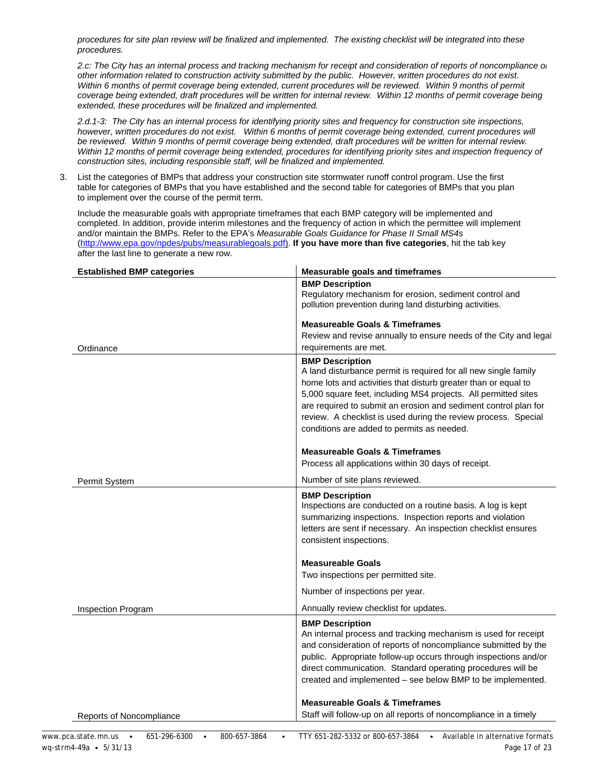*procedures for site plan review will be finalized and implemented. The existing checklist will be integrated into these procedures.* 

*2.c: The City has an internal process and tracking mechanism for receipt and consideration of reports of noncompliance or other information related to construction activity submitted by the public. However, written procedures do not exist. Within 6 months of permit coverage being extended, current procedures will be reviewed. Within 9 months of permit coverage being extended, draft procedures will be written for internal review. Within 12 months of permit coverage being extended, these procedures will be finalized and implemented.*

*2.d.1-3: The City has an internal process for identifying priority sites and frequency for construction site inspections,*  however, written procedures do not exist. Within 6 months of permit coverage being extended, current procedures will *be reviewed. Within 9 months of permit coverage being extended, draft procedures will be written for internal review. Within 12 months of permit coverage being extended, procedures for identifying priority sites and inspection frequency of construction sites, including responsible staff, will be finalized and implemented.* 

3. List the categories of BMPs that address your construction site stormwater runoff control program. Use the first table for categories of BMPs that you have established and the second table for categories of BMPs that you plan to implement over the course of the permit term.

Include the measurable goals with appropriate timeframes that each BMP category will be implemented and completed. In addition, provide interim milestones and the frequency of action in which the permittee will implement and/or maintain the BMPs. Refer to the EPA's *Measurable Goals Guidance for Phase II Small MS4s* [\(http://www.epa.gov/npdes/pubs/measurablegoals.pdf\)](http://www.epa.gov/npdes/pubs/measurablegoals.pdf). **If you have more than five categories**, hit the tab key after the last line to generate a new row.

| <b>Established BMP categories</b> | <b>Measurable goals and timeframes</b>                                                                                                                                                                                                                                                                                                                                                                           |
|-----------------------------------|------------------------------------------------------------------------------------------------------------------------------------------------------------------------------------------------------------------------------------------------------------------------------------------------------------------------------------------------------------------------------------------------------------------|
|                                   | <b>BMP Description</b><br>Regulatory mechanism for erosion, sediment control and<br>pollution prevention during land disturbing activities.                                                                                                                                                                                                                                                                      |
|                                   | <b>Measureable Goals &amp; Timeframes</b>                                                                                                                                                                                                                                                                                                                                                                        |
| Ordinance                         | Review and revise annually to ensure needs of the City and legal<br>requirements are met.                                                                                                                                                                                                                                                                                                                        |
|                                   | <b>BMP Description</b><br>A land disturbance permit is required for all new single family<br>home lots and activities that disturb greater than or equal to<br>5,000 square feet, including MS4 projects. All permitted sites<br>are required to submit an erosion and sediment control plan for<br>review. A checklist is used during the review process. Special<br>conditions are added to permits as needed. |
|                                   | <b>Measureable Goals &amp; Timeframes</b><br>Process all applications within 30 days of receipt.                                                                                                                                                                                                                                                                                                                 |
| Permit System                     | Number of site plans reviewed.                                                                                                                                                                                                                                                                                                                                                                                   |
|                                   | <b>BMP Description</b><br>Inspections are conducted on a routine basis. A log is kept<br>summarizing inspections. Inspection reports and violation<br>letters are sent if necessary. An inspection checklist ensures<br>consistent inspections.                                                                                                                                                                  |
|                                   | <b>Measureable Goals</b>                                                                                                                                                                                                                                                                                                                                                                                         |
|                                   | Two inspections per permitted site.                                                                                                                                                                                                                                                                                                                                                                              |
|                                   | Number of inspections per year.                                                                                                                                                                                                                                                                                                                                                                                  |
| <b>Inspection Program</b>         | Annually review checklist for updates.                                                                                                                                                                                                                                                                                                                                                                           |
|                                   | <b>BMP Description</b><br>An internal process and tracking mechanism is used for receipt<br>and consideration of reports of noncompliance submitted by the<br>public. Appropriate follow-up occurs through inspections and/or<br>direct communication. Standard operating procedures will be<br>created and implemented - see below BMP to be implemented.                                                       |
|                                   | <b>Measureable Goals &amp; Timeframes</b>                                                                                                                                                                                                                                                                                                                                                                        |
| Reports of Noncompliance          | Staff will follow-up on all reports of noncompliance in a timely                                                                                                                                                                                                                                                                                                                                                 |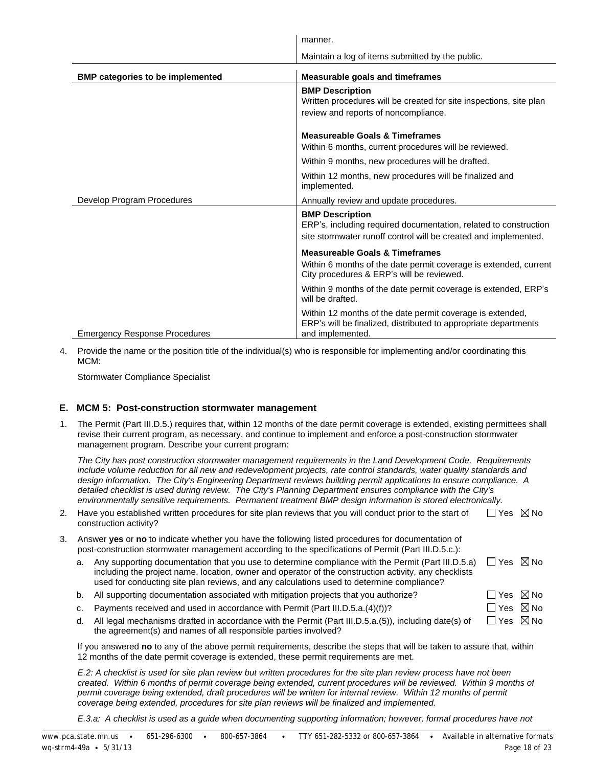|                                         | manner.                                                                                                                                                       |
|-----------------------------------------|---------------------------------------------------------------------------------------------------------------------------------------------------------------|
|                                         | Maintain a log of items submitted by the public.                                                                                                              |
| <b>BMP categories to be implemented</b> | <b>Measurable goals and timeframes</b>                                                                                                                        |
|                                         | <b>BMP Description</b><br>Written procedures will be created for site inspections, site plan<br>review and reports of noncompliance.                          |
|                                         | <b>Measureable Goals &amp; Timeframes</b><br>Within 6 months, current procedures will be reviewed.                                                            |
|                                         | Within 9 months, new procedures will be drafted.                                                                                                              |
|                                         | Within 12 months, new procedures will be finalized and<br>implemented.                                                                                        |
| Develop Program Procedures              | Annually review and update procedures.                                                                                                                        |
|                                         | <b>BMP Description</b><br>ERP's, including required documentation, related to construction<br>site stormwater runoff control will be created and implemented. |
|                                         | <b>Measureable Goals &amp; Timeframes</b>                                                                                                                     |
|                                         | Within 6 months of the date permit coverage is extended, current<br>City procedures & ERP's will be reviewed.                                                 |
|                                         | Within 9 months of the date permit coverage is extended, ERP's<br>will be drafted.                                                                            |
| <b>Emergency Response Procedures</b>    | Within 12 months of the date permit coverage is extended,<br>ERP's will be finalized, distributed to appropriate departments<br>and implemented.              |

4. Provide the name or the position title of the individual(s) who is responsible for implementing and/or coordinating this MCM:

Stormwater Compliance Specialist

#### **E. MCM 5: Post-construction stormwater management**

1. The Permit (Part III.D.5.) requires that, within 12 months of the date permit coverage is extended, existing permittees shall revise their current program, as necessary, and continue to implement and enforce a post-construction stormwater management program. Describe your current program:

*The City has post construction stormwater management requirements in the Land Development Code. Requirements include volume reduction for all new and redevelopment projects, rate control standards, water quality standards and design information. The City's Engineering Department reviews building permit applications to ensure compliance. A detailed checklist is used during review. The City's Planning Department ensures compliance with the City's environmentally sensitive requirements. Permanent treatment BMP design information is stored electronically.*

| 2. Have you established written procedures for site plan reviews that you will conduct prior to the start of | $\Box$ Yes $\ \boxtimes$ No |
|--------------------------------------------------------------------------------------------------------------|-----------------------------|
| construction activity?                                                                                       |                             |

- 3. Answer **yes** or **no** to indicate whether you have the following listed procedures for documentation of post-construction stormwater management according to the specifications of Permit (Part III.D.5.c.):
	- a. Any supporting documentation that you use to determine compliance with the Permit (Part III.D.5.a), Yes No including the project name, location, owner and operator of the construction activity, any checklists used for conducting site plan reviews, and any calculations used to determine compliance?
	- b. All supporting documentation associated with mitigation projects that you authorize?  $\square$  Yes  $\boxtimes$  No c. Payments received and used in accordance with Permit (Part III.D.5.a.(4)(f))?  $\square$  Yes  $\boxtimes$  No
	- d. All legal mechanisms drafted in accordance with the Permit (Part III.D.5.a.(5)), including date(s) of the agreement(s) and names of all responsible parties involved?  $\Box$  Yes  $\boxtimes$  No

If you answered **no** to any of the above permit requirements, describe the steps that will be taken to assure that, within 12 months of the date permit coverage is extended, these permit requirements are met.

*E.2: A checklist is used for site plan review but written procedures for the site plan review process have not been created. Within 6 months of permit coverage being extended, current procedures will be reviewed. Within 9 months of* permit coverage being extended, draft procedures will be written for internal review. Within 12 months of permit *coverage being extended, procedures for site plan reviews will be finalized and implemented.*

*E.3.a: A checklist is used as a guide when documenting supporting information; however, formal procedures have not*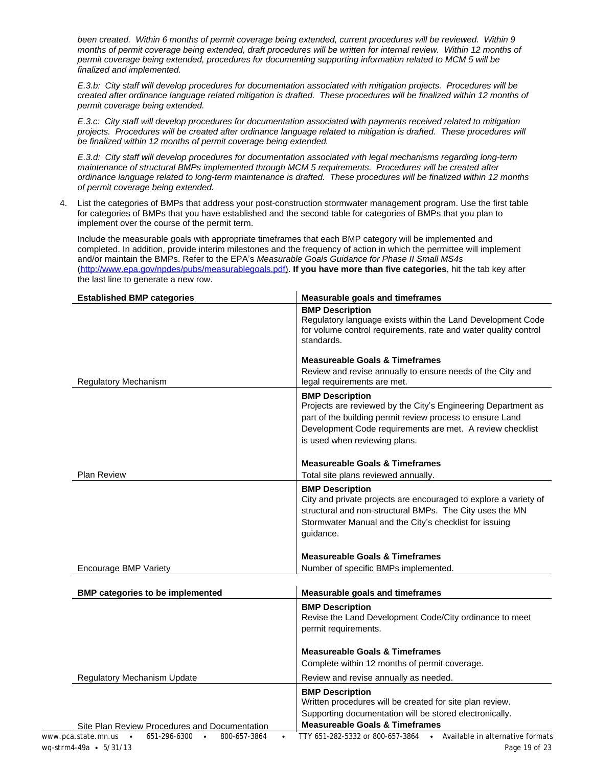*been created. Within 6 months of permit coverage being extended, current procedures will be reviewed. Within 9 months of permit coverage being extended, draft procedures will be written for internal review. Within 12 months of permit coverage being extended, procedures for documenting supporting information related to MCM 5 will be finalized and implemented.*

*E.3.b: City staff will develop procedures for documentation associated with mitigation projects. Procedures will be created after ordinance language related mitigation is drafted. These procedures will be finalized within 12 months of permit coverage being extended.*

*E.3.c: City staff will develop procedures for documentation associated with payments received related to mitigation*  projects. Procedures will be created after ordinance language related to mitigation is drafted. These procedures will *be finalized within 12 months of permit coverage being extended.*

*E.3.d: City staff will develop procedures for documentation associated with legal mechanisms regarding long-term maintenance of structural BMPs implemented through MCM 5 requirements. Procedures will be created after ordinance language related to long-term maintenance is drafted. These procedures will be finalized within 12 months of permit coverage being extended.*

4. List the categories of BMPs that address your post-construction stormwater management program. Use the first table for categories of BMPs that you have established and the second table for categories of BMPs that you plan to implement over the course of the permit term.

Include the measurable goals with appropriate timeframes that each BMP category will be implemented and completed. In addition, provide interim milestones and the frequency of action in which the permittee will implement and/or maintain the BMPs. Refer to the EPA's *Measurable Goals Guidance for Phase II Small MS4s* [\(http://www.epa.gov/npdes/pubs/measurablegoals.pdf\)](http://www.epa.gov/npdes/pubs/measurablegoals.pdf). **If you have more than five categories**, hit the tab key after the last line to generate a new row.

| <b>Established BMP categories</b>                                          | <b>Measurable goals and timeframes</b>                                                                                                                                                                                                             |
|----------------------------------------------------------------------------|----------------------------------------------------------------------------------------------------------------------------------------------------------------------------------------------------------------------------------------------------|
|                                                                            | <b>BMP Description</b><br>Regulatory language exists within the Land Development Code<br>for volume control requirements, rate and water quality control<br>standards.                                                                             |
|                                                                            | <b>Measureable Goals &amp; Timeframes</b>                                                                                                                                                                                                          |
| <b>Regulatory Mechanism</b>                                                | Review and revise annually to ensure needs of the City and<br>legal requirements are met.                                                                                                                                                          |
|                                                                            | <b>BMP Description</b><br>Projects are reviewed by the City's Engineering Department as<br>part of the building permit review process to ensure Land<br>Development Code requirements are met. A review checklist<br>is used when reviewing plans. |
| <b>Plan Review</b>                                                         | <b>Measureable Goals &amp; Timeframes</b><br>Total site plans reviewed annually.                                                                                                                                                                   |
|                                                                            | <b>BMP Description</b><br>City and private projects are encouraged to explore a variety of<br>structural and non-structural BMPs. The City uses the MN<br>Stormwater Manual and the City's checklist for issuing<br>guidance.                      |
|                                                                            | <b>Measureable Goals &amp; Timeframes</b>                                                                                                                                                                                                          |
| Encourage BMP Variety                                                      | Number of specific BMPs implemented.                                                                                                                                                                                                               |
| <b>BMP categories to be implemented</b>                                    | <b>Measurable goals and timeframes</b>                                                                                                                                                                                                             |
|                                                                            | <b>BMP Description</b><br>Revise the Land Development Code/City ordinance to meet<br>permit requirements.                                                                                                                                          |
|                                                                            | <b>Measureable Goals &amp; Timeframes</b><br>Complete within 12 months of permit coverage.                                                                                                                                                         |
| <b>Regulatory Mechanism Update</b>                                         | Review and revise annually as needed.                                                                                                                                                                                                              |
| Site Plan Review Procedures and Documentation                              | <b>BMP Description</b><br>Written procedures will be created for site plan review.<br>Supporting documentation will be stored electronically.<br><b>Measureable Goals &amp; Timeframes</b>                                                         |
| www.pca.state.mn.us $\bullet$<br>651-296-6300<br>800-657-3864<br>$\bullet$ | • Available in alternative formats<br>TTY 651-282-5332 or 800-657-3864                                                                                                                                                                             |
| wq-strm4-49a • 5/31/13                                                     | Page 19 of 23                                                                                                                                                                                                                                      |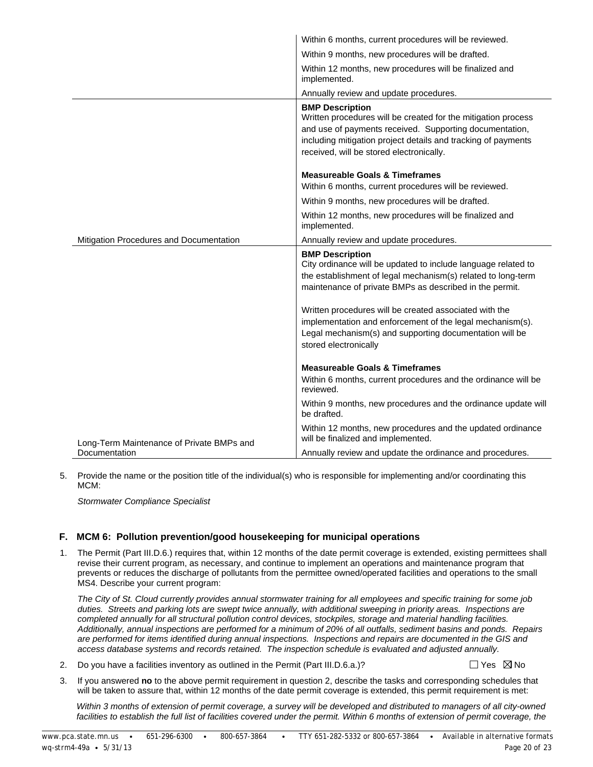|                                           | Within 6 months, current procedures will be reviewed.                                                                                                                                                                                                           |
|-------------------------------------------|-----------------------------------------------------------------------------------------------------------------------------------------------------------------------------------------------------------------------------------------------------------------|
|                                           | Within 9 months, new procedures will be drafted.                                                                                                                                                                                                                |
|                                           | Within 12 months, new procedures will be finalized and<br>implemented.                                                                                                                                                                                          |
|                                           | Annually review and update procedures.                                                                                                                                                                                                                          |
|                                           | <b>BMP Description</b><br>Written procedures will be created for the mitigation process<br>and use of payments received. Supporting documentation,<br>including mitigation project details and tracking of payments<br>received, will be stored electronically. |
|                                           | <b>Measureable Goals &amp; Timeframes</b>                                                                                                                                                                                                                       |
|                                           | Within 6 months, current procedures will be reviewed.                                                                                                                                                                                                           |
|                                           | Within 9 months, new procedures will be drafted.                                                                                                                                                                                                                |
|                                           | Within 12 months, new procedures will be finalized and<br>implemented.                                                                                                                                                                                          |
| Mitigation Procedures and Documentation   | Annually review and update procedures.                                                                                                                                                                                                                          |
|                                           | <b>BMP Description</b><br>City ordinance will be updated to include language related to<br>the establishment of legal mechanism(s) related to long-term<br>maintenance of private BMPs as described in the permit.                                              |
|                                           | Written procedures will be created associated with the<br>implementation and enforcement of the legal mechanism(s).<br>Legal mechanism(s) and supporting documentation will be<br>stored electronically                                                         |
|                                           | <b>Measureable Goals &amp; Timeframes</b><br>Within 6 months, current procedures and the ordinance will be<br>reviewed.                                                                                                                                         |
|                                           | Within 9 months, new procedures and the ordinance update will<br>be drafted.                                                                                                                                                                                    |
| Long-Term Maintenance of Private BMPs and | Within 12 months, new procedures and the updated ordinance<br>will be finalized and implemented.                                                                                                                                                                |
| Documentation                             | Annually review and update the ordinance and procedures.                                                                                                                                                                                                        |

5. Provide the name or the position title of the individual(s) who is responsible for implementing and/or coordinating this MCM:

*Stormwater Compliance Specialist*

#### **F. MCM 6: Pollution prevention/good housekeeping for municipal operations**

1. The Permit (Part III.D.6.) requires that, within 12 months of the date permit coverage is extended, existing permittees shall revise their current program, as necessary, and continue to implement an operations and maintenance program that prevents or reduces the discharge of pollutants from the permittee owned/operated facilities and operations to the small MS4. Describe your current program:

*The City of St. Cloud currently provides annual stormwater training for all employees and specific training for some job duties. Streets and parking lots are swept twice annually, with additional sweeping in priority areas. Inspections are completed annually for all structural pollution control devices, stockpiles, storage and material handling facilities. Additionally, annual inspections are performed for a minimum of 20% of all outfalls, sediment basins and ponds. Repairs are performed for items identified during annual inspections. Inspections and repairs are documented in the GIS and access database systems and records retained. The inspection schedule is evaluated and adjusted annually.*

2. Do you have a facilities inventory as outlined in the Permit (Part III.D.6.a.)?  $\Box$  Yes  $\boxtimes$  No

3. If you answered **no** to the above permit requirement in question 2, describe the tasks and corresponding schedules that will be taken to assure that, within 12 months of the date permit coverage is extended, this permit requirement is met:

*Within 3 months of extension of permit coverage, a survey will be developed and distributed to managers of all city-owned*  facilities to establish the full list of facilities covered under the permit. Within 6 months of extension of permit coverage, the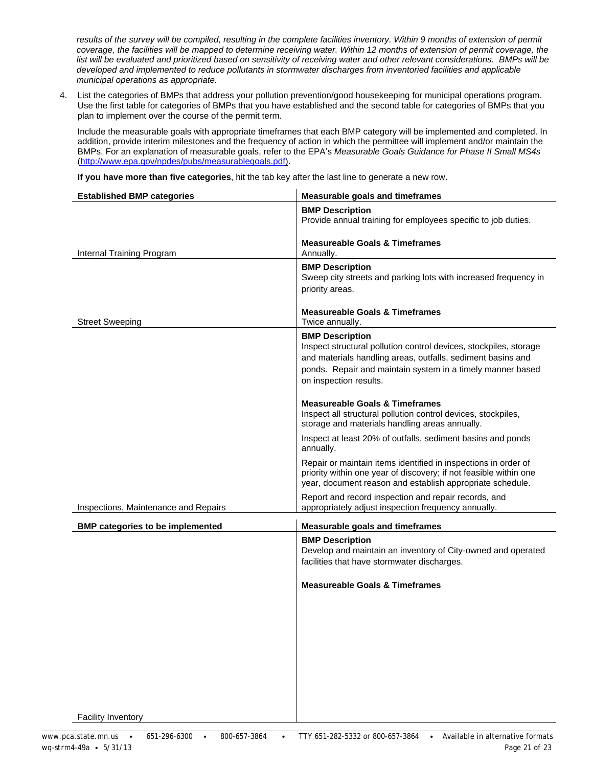results of the survey will be compiled, resulting in the complete facilities inventory. Within 9 months of extension of permit *coverage, the facilities will be mapped to determine receiving water. Within 12 months of extension of permit coverage, the list will be evaluated and prioritized based on sensitivity of receiving water and other relevant considerations. BMPs will be developed and implemented to reduce pollutants in stormwater discharges from inventoried facilities and applicable municipal operations as appropriate.*

4. List the categories of BMPs that address your pollution prevention/good housekeeping for municipal operations program. Use the first table for categories of BMPs that you have established and the second table for categories of BMPs that you plan to implement over the course of the permit term.

Include the measurable goals with appropriate timeframes that each BMP category will be implemented and completed. In addition, provide interim milestones and the frequency of action in which the permittee will implement and/or maintain the BMPs. For an explanation of measurable goals, refer to the EPA's *Measurable Goals Guidance for Phase II Small MS4s* [\(http://www.epa.gov/npdes/pubs/measurablegoals.pdf\)](http://www.epa.gov/npdes/pubs/measurablegoals.pdf).

**If you have more than five categories**, hit the tab key after the last line to generate a new row.

| <b>Established BMP categories</b>       | <b>Measurable goals and timeframes</b>                                                                                                                                                                                                             |
|-----------------------------------------|----------------------------------------------------------------------------------------------------------------------------------------------------------------------------------------------------------------------------------------------------|
|                                         | <b>BMP Description</b><br>Provide annual training for employees specific to job duties.                                                                                                                                                            |
| Internal Training Program               | <b>Measureable Goals &amp; Timeframes</b><br>Annually.                                                                                                                                                                                             |
|                                         | <b>BMP Description</b><br>Sweep city streets and parking lots with increased frequency in<br>priority areas.                                                                                                                                       |
| <b>Street Sweeping</b>                  | <b>Measureable Goals &amp; Timeframes</b><br>Twice annually.                                                                                                                                                                                       |
|                                         | <b>BMP Description</b><br>Inspect structural pollution control devices, stockpiles, storage<br>and materials handling areas, outfalls, sediment basins and<br>ponds. Repair and maintain system in a timely manner based<br>on inspection results. |
|                                         | <b>Measureable Goals &amp; Timeframes</b><br>Inspect all structural pollution control devices, stockpiles,<br>storage and materials handling areas annually.                                                                                       |
|                                         | Inspect at least 20% of outfalls, sediment basins and ponds<br>annually.                                                                                                                                                                           |
|                                         | Repair or maintain items identified in inspections in order of<br>priority within one year of discovery; if not feasible within one<br>year, document reason and establish appropriate schedule.                                                   |
| Inspections, Maintenance and Repairs    | Report and record inspection and repair records, and<br>appropriately adjust inspection frequency annually.                                                                                                                                        |
| <b>BMP categories to be implemented</b> | <b>Measurable goals and timeframes</b>                                                                                                                                                                                                             |
|                                         | <b>BMP Description</b><br>Develop and maintain an inventory of City-owned and operated<br>facilities that have stormwater discharges.                                                                                                              |
|                                         | <b>Measureable Goals &amp; Timeframes</b>                                                                                                                                                                                                          |
|                                         |                                                                                                                                                                                                                                                    |
|                                         |                                                                                                                                                                                                                                                    |
|                                         |                                                                                                                                                                                                                                                    |
|                                         |                                                                                                                                                                                                                                                    |
| <b>Facility Inventory</b>               |                                                                                                                                                                                                                                                    |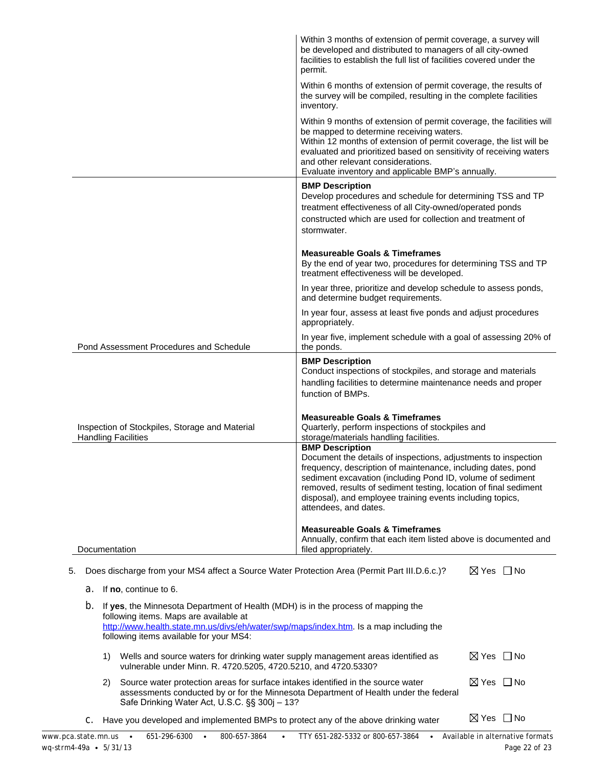|                                                                                                                                                                                                                                                                        | Within 3 months of extension of permit coverage, a survey will<br>be developed and distributed to managers of all city-owned<br>facilities to establish the full list of facilities covered under the<br>permit.                                                                                                                                                                 |  |  |
|------------------------------------------------------------------------------------------------------------------------------------------------------------------------------------------------------------------------------------------------------------------------|----------------------------------------------------------------------------------------------------------------------------------------------------------------------------------------------------------------------------------------------------------------------------------------------------------------------------------------------------------------------------------|--|--|
|                                                                                                                                                                                                                                                                        | Within 6 months of extension of permit coverage, the results of<br>the survey will be compiled, resulting in the complete facilities<br>inventory.                                                                                                                                                                                                                               |  |  |
|                                                                                                                                                                                                                                                                        | Within 9 months of extension of permit coverage, the facilities will<br>be mapped to determine receiving waters.<br>Within 12 months of extension of permit coverage, the list will be<br>evaluated and prioritized based on sensitivity of receiving waters<br>and other relevant considerations.<br>Evaluate inventory and applicable BMP's annually.                          |  |  |
|                                                                                                                                                                                                                                                                        | <b>BMP Description</b><br>Develop procedures and schedule for determining TSS and TP<br>treatment effectiveness of all City-owned/operated ponds<br>constructed which are used for collection and treatment of<br>stormwater.                                                                                                                                                    |  |  |
|                                                                                                                                                                                                                                                                        | <b>Measureable Goals &amp; Timeframes</b><br>By the end of year two, procedures for determining TSS and TP<br>treatment effectiveness will be developed.                                                                                                                                                                                                                         |  |  |
|                                                                                                                                                                                                                                                                        | In year three, prioritize and develop schedule to assess ponds,<br>and determine budget requirements.                                                                                                                                                                                                                                                                            |  |  |
|                                                                                                                                                                                                                                                                        | In year four, assess at least five ponds and adjust procedures<br>appropriately.                                                                                                                                                                                                                                                                                                 |  |  |
| Pond Assessment Procedures and Schedule                                                                                                                                                                                                                                | In year five, implement schedule with a goal of assessing 20% of<br>the ponds.                                                                                                                                                                                                                                                                                                   |  |  |
|                                                                                                                                                                                                                                                                        | <b>BMP Description</b><br>Conduct inspections of stockpiles, and storage and materials<br>handling facilities to determine maintenance needs and proper<br>function of BMPs.                                                                                                                                                                                                     |  |  |
| Inspection of Stockpiles, Storage and Material<br><b>Handling Facilities</b>                                                                                                                                                                                           | <b>Measureable Goals &amp; Timeframes</b><br>Quarterly, perform inspections of stockpiles and<br>storage/materials handling facilities.                                                                                                                                                                                                                                          |  |  |
|                                                                                                                                                                                                                                                                        | <b>BMP Description</b><br>Document the details of inspections, adjustments to inspection<br>frequency, description of maintenance, including dates, pond<br>sediment excavation (including Pond ID, volume of sediment<br>removed, results of sediment testing, location of final sediment<br>disposal), and employee training events including topics,<br>attendees, and dates. |  |  |
| Documentation                                                                                                                                                                                                                                                          | <b>Measureable Goals &amp; Timeframes</b><br>Annually, confirm that each item listed above is documented and<br>filed appropriately.                                                                                                                                                                                                                                             |  |  |
| Does discharge from your MS4 affect a Source Water Protection Area (Permit Part III.D.6.c.)?<br>5.                                                                                                                                                                     | $\boxtimes$ Yes $\Box$ No                                                                                                                                                                                                                                                                                                                                                        |  |  |
| If no, continue to 6.<br>а.                                                                                                                                                                                                                                            |                                                                                                                                                                                                                                                                                                                                                                                  |  |  |
| b.<br>If yes, the Minnesota Department of Health (MDH) is in the process of mapping the<br>following items. Maps are available at<br>http://www.health.state.mn.us/divs/eh/water/swp/maps/index.htm. Is a map including the<br>following items available for your MS4: |                                                                                                                                                                                                                                                                                                                                                                                  |  |  |
| Wells and source waters for drinking water supply management areas identified as<br>1)<br>vulnerable under Minn. R. 4720.5205, 4720.5210, and 4720.5330?                                                                                                               | $\boxtimes$ Yes $\Box$ No                                                                                                                                                                                                                                                                                                                                                        |  |  |

- 2) Source water protection areas for surface intakes identified in the source water assessments conducted by or for the Minnesota Department of Health under the federal Safe Drinking Water Act, U.S.C. §§ 300j *–* 13?  $\boxtimes$  Yes  $\Box$  No
- C. Have you developed and implemented BMPs to protect any of the above drinking water  $\boxtimes$  Yes  $\Box$  No